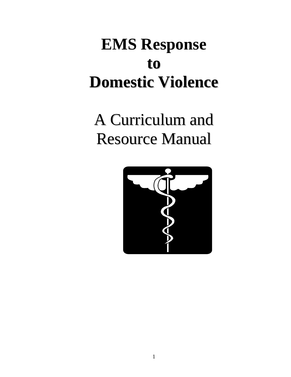## **EMS Response to Domestic Violence**

A Curriculum and Resource Manual

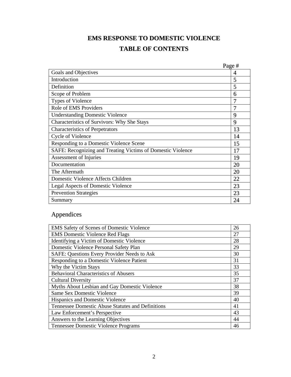## **EMS RESPONSE TO DOMESTIC VIOLENCE TABLE OF CONTENTS**

|                                                             | Page # |
|-------------------------------------------------------------|--------|
| Goals and Objectives                                        | 4      |
| Introduction                                                | 5      |
| Definition                                                  | 5      |
| Scope of Problem                                            | 6      |
| <b>Types of Violence</b>                                    | 7      |
| Role of EMS Providers                                       |        |
| <b>Understanding Domestic Violence</b>                      | 9      |
| Characteristics of Survivors: Why She Stays                 | 9      |
| <b>Characteristics of Perpetrators</b>                      | 13     |
| Cycle of Violence                                           | 14     |
| Responding to a Domestic Violence Scene                     | 15     |
| SAFE: Recognizing and Treating Victims of Domestic Violence | 17     |
| Assessment of Injuries                                      | 19     |
| Documentation                                               | 20     |
| The Aftermath                                               | 20     |
| Domestic Violence Affects Children                          | 22     |
| <b>Legal Aspects of Domestic Violence</b>                   | 23     |
| <b>Prevention Strategies</b>                                | 23     |
| Summary                                                     | 24     |

### Appendices

| <b>EMS Safety of Scenes of Domestic Violence</b>  | 26 |
|---------------------------------------------------|----|
| <b>EMS</b> Domestic Violence Red Flags            | 27 |
| Identifying a Victim of Domestic Violence         | 28 |
| Domestic Violence Personal Safety Plan            | 29 |
| SAFE: Questions Every Provider Needs to Ask       | 30 |
| Responding to a Domestic Violence Patient         | 31 |
| Why the Victim Stays                              | 33 |
| <b>Behavioral Characteristics of Abusers</b>      | 35 |
| <b>Cultural Diversity</b>                         | 37 |
| Myths About Lesbian and Gay Domestic Violence     | 38 |
| <b>Same Sex Domestic Violence</b>                 | 39 |
| Hispanics and Domestic Violence                   | 40 |
| Tennessee Domestic Abuse Statutes and Definitions | 41 |
| Law Enforcement's Perspective                     | 43 |
| Answers to the Learning Objectives                | 44 |
| Tennessee Domestic Violence Programs              | 46 |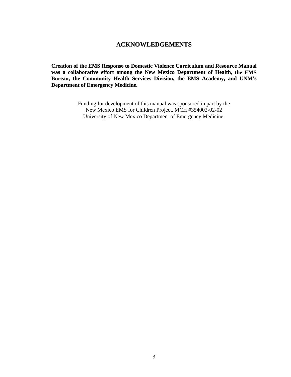#### **ACKNOWLEDGEMENTS**

**Creation of the EMS Response to Domestic Violence Curriculum and Resource Manual was a collaborative effort among the New Mexico Department of Health, the EMS Bureau, the Community Health Services Division, the EMS Academy, and UNM's Department of Emergency Medicine.**

> Funding for development of this manual was sponsored in part by the New Mexico EMS for Children Project, MCH #354002-02-02 University of New Mexico Department of Emergency Medicine.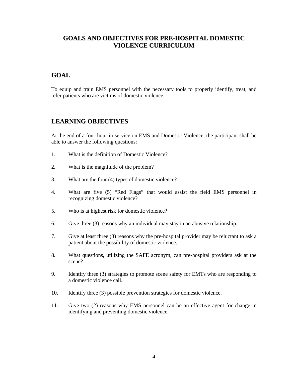#### **GOALS AND OBJECTIVES FOR PRE-HOSPITAL DOMESTIC VIOLENCE CURRICULUM**

#### **GOAL**

To equip and train EMS personnel with the necessary tools to properly identify, treat, and refer patients who are victims of domestic violence.

#### **LEARNING OBJECTIVES**

At the end of a four-hour in-service on EMS and Domestic Violence, the participant shall be able to answer the following questions:

- 1. What is the definition of Domestic Violence?
- 2. What is the magnitude of the problem?
- 3. What are the four (4) types of domestic violence?
- 4. What are five (5) "Red Flags" that would assist the field EMS personnel in recognizing domestic violence?
- 5. Who is at highest risk for domestic violence?
- 6. Give three (3) reasons why an individual may stay in an abusive relationship.
- 7. Give at least three (3) reasons why the pre-hospital provider may be reluctant to ask a patient about the possibility of domestic violence.
- 8. What questions, utilizing the SAFE acronym, can pre-hospital providers ask at the scene?
- 9. Identify three (3) strategies to promote scene safety for EMTs who are responding to a domestic violence call.
- 10. Identify three (3) possible prevention strategies for domestic violence.
- 11. Give two (2) reasons why EMS personnel can be an effective agent for change in identifying and preventing domestic violence.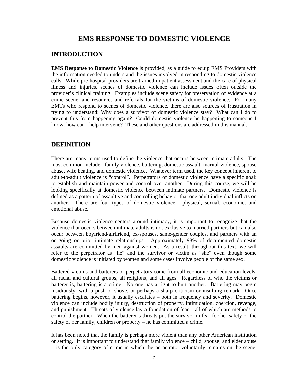#### **EMS RESPONSE TO DOMESTIC VIOLENCE**

#### **INTRODUCTION**

**EMS Response to Domestic Violence** is provided, as a guide to equip EMS Providers with the information needed to understand the issues involved in responding to domestic violence calls. While pre-hospital providers are trained in patient assessment and the care of physical illness and injuries, scenes of domestic violence can include issues often outside the provider's clinical training. Examples include scene safety for preservation of evidence at a crime scene, and resources and referrals for the victims of domestic violence. For many EMTs who respond to scenes of domestic violence, there are also sources of frustration in trying to understand: Why does a survivor of domestic violence stay? What can I do to prevent this from happening again? Could domestic violence be happening to someone I know; how can I help intervene? These and other questions are addressed in this manual.

#### **DEFINITION**

There are many terms used to define the violence that occurs between intimate adults. The most common include: family violence, battering, domestic assault, marital violence, spouse abuse, wife beating, and domestic violence. Whatever term used, the key concept inherent to adult-to-adult violence is "control". Perpetrators of domestic violence have a specific goal: to establish and maintain power and control over another. During this course, we will be looking specifically at domestic violence between intimate partners. Domestic violence is defined as a pattern of assaultive and controlling behavior that one adult individual inflicts on another. There are four types of domestic violence: physical, sexual, economic, and emotional abuse.

Because domestic violence centers around intimacy, it is important to recognize that the violence that occurs between intimate adults is not exclusive to married partners but can also occur between boyfriend/girlfriend, ex-spouses, same-gender couples, and partners with an on-going or prior intimate relationships. Approximately 98% of documented domestic assaults are committed by men against women. As a result, throughout this text, we will refer to the perpetrator as "he" and the survivor or victim as "she" even though some domestic violence is initiated by women and some cases involve people of the same sex.

Battered victims and batterers or perpetrators come from all economic and education levels, all racial and cultural groups, all religions, and all ages. Regardless of who the victims or batterer is, battering is a crime. No one has a right to hurt another. Battering may begin insidiously, with a push or shove, or perhaps a sharp criticism or insulting remark. Once battering begins, however, it usually escalates – both in frequency and severity. Domestic violence can include bodily injury, destruction of property, intimidation, coercion, revenge, and punishment. Threats of violence lay a foundation of fear – all of which are methods to control the partner. When the batterer's threats put the survivor in fear for her safety or the safety of her family, children or property – he has committed a crime.

It has been noted that the family is perhaps more violent than any other American institution or setting. It is important to understand that family violence – child, spouse, and elder abuse – is the only category of crime in which the perpetrator voluntarily remains on the scene,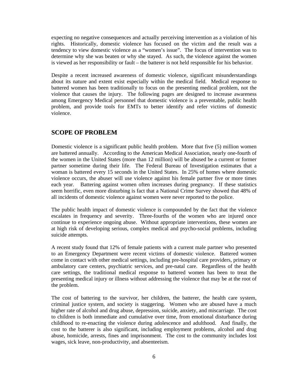expecting no negative consequences and actually perceiving intervention as a violation of his rights. Historically, domestic violence has focused on the victim and the result was a tendency to view domestic violence as a "women's issue". The focus of intervention was to determine why she was beaten or why she stayed. As such, the violence against the women is viewed as her responsibility or fault – the batterer is not held responsible for his behavior.

Despite a recent increased awareness of domestic violence, significant misunderstandings about its nature and extent exist especially within the medical field. Medical response to battered women has been traditionally to focus on the presenting medical problem, not the violence that causes the injury. The following pages are designed to increase awareness among Emergency Medical personnel that domestic violence is a preventable, public health problem, and provide tools for EMTs to better identify and refer victims of domestic violence.

#### **SCOPE OF PROBLEM**

Domestic violence is a significant public health problem. More that five (5) million women are battered annually. According to the American Medical Association, nearly one-fourth of the women in the United States (more than 12 million) will be abused be a current or former partner sometime during their life. The Federal Bureau of Investigation estimates that a woman is battered every 15 seconds in the United States. In 25% of homes where domestic violence occurs, the abuser will use violence against his female partner five or more times each year. Battering against women often increases during pregnancy. If these statistics seem horrific, even more disturbing is fact that a National Crime Survey showed that 48% of all incidents of domestic violence against women were never reported to the police.

The public health impact of domestic violence is compounded by the fact that the violence escalates in frequency and severity. Three-fourths of the women who are injured once continue to experience ongoing abuse. Without appropriate interventions, these women are at high risk of developing serious, complex medical and psycho-social problems, including suicide attempts.

A recent study found that 12% of female patients with a current male partner who presented to an Emergency Department were recent victims of domestic violence. Battered women come in contact with other medical settings, including pre-hospital care providers, primary or ambulatory care centers, psychiatric services, and pre-natal care. Regardless of the health care settings, the traditional medical response to battered women has been to treat the presenting medical injury or illness without addressing the violence that may be at the root of the problem.

The cost of battering to the survivor, her children, the batterer, the health care system, criminal justice system, and society is staggering. Women who are abused have a much higher rate of alcohol and drug abuse, depression, suicide, anxiety, and miscarriage. The cost to children is both immediate and cumulative over time, from emotional disturbance during childhood to re-enacting the violence during adolescence and adulthood. And finally, the cost to the batterer is also significant, including employment problems, alcohol and drug abuse, homicide, arrests, fines and imprisonment. The cost to the community includes lost wages, sick leave, non-productivity, and absenteeism.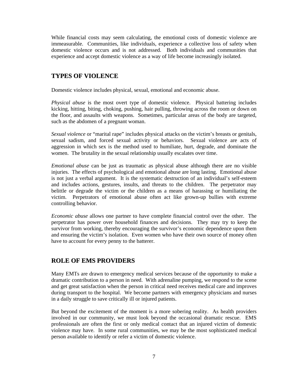While financial costs may seem calculating, the emotional costs of domestic violence are immeasurable. Communities, like individuals, experience a collective loss of safety when domestic violence occurs and is not addressed. Both individuals and communities that experience and accept domestic violence as a way of life become increasingly isolated.

#### **TYPES OF VIOLENCE**

Domestic violence includes physical, sexual, emotional and economic abuse.

*Physical abuse* is the most overt type of domestic violence. Physical battering includes kicking, hitting, biting, choking, pushing, hair pulling, throwing across the room or down on the floor, and assaults with weapons. Sometimes, particular areas of the body are targeted, such as the abdomen of a pregnant woman.

*Sexual violence* or "marital rape" includes physical attacks on the victim's breasts or genitals, sexual sadism, and forced sexual activity or behaviors. Sexual violence are acts of aggression in which sex is the method used to humiliate, hurt, degrade, and dominate the women. The brutality in the sexual relationship usually escalates over time.

*Emotional abuse* can be just as traumatic as physical abuse although there are no visible injuries. The effects of psychological and emotional abuse are long lasting. Emotional abuse is not just a verbal argument. It is the systematic destruction of an individual's self-esteem and includes actions, gestures, insults, and threats to the children. The perpetrator may belittle or degrade the victim or the children as a means of harassing or humiliating the victim. Perpetrators of emotional abuse often act like grown-up bullies with extreme controlling behavior.

*Economic abuse* allows one partner to have complete financial control over the other. The perpetrator has power over household finances and decisions. They may try to keep the survivor from working, thereby encouraging the survivor's economic dependence upon them and ensuring the victim's isolation. Even women who have their own source of money often have to account for every penny to the batterer.

#### **ROLE OF EMS PROVIDERS**

Many EMTs are drawn to emergency medical services because of the opportunity to make a dramatic contribution to a person in need. With adrenaline pumping, we respond to the scene and get great satisfaction when the person in critical need receives medical care and improves during transport to the hospital. We become partners with emergency physicians and nurses in a daily struggle to save critically ill or injured patients.

But beyond the excitement of the moment is a more sobering reality. As health providers involved in our community, we must look beyond the occasional dramatic rescue. EMS professionals are often the first or only medical contact that an injured victim of domestic violence may have. In some rural communities, we may be the most sophisticated medical person available to identify or refer a victim of domestic violence.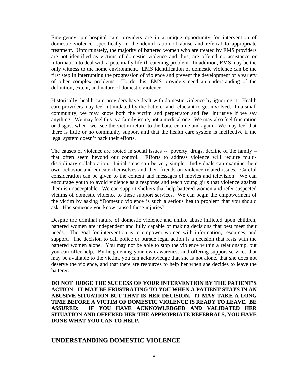Emergency, pre-hospital care providers are in a unique opportunity for intervention of domestic violence, specifically in the identification of abuse and referral to appropriate treatment. Unfortunately, the majority of battered women who are treated by EMS providers are not identified as victims of domestic violence and thus, are offered no assistance or information to deal with a potentially life-threatening problem. In addition, EMS may be the only witness to the home environment. EMS identification of domestic violence can be the first step in interrupting the progression of violence and prevent the development of a variety of other complex problems. To do this, EMS providers need an understanding of the definition, extent, and nature of domestic violence.

Historically, health care providers have dealt with domestic violence by ignoring it. Health care providers may feel intimidated by the batterer and reluctant to get involved. In a small community, we may know both the victim and perpetrator and feel intrusive if we say anything. We may feel this is a family issue, not a medical one. We may also feel frustration or disgust when we see the victim return to the batterer time and again. We may feel that there is little or no community support and that the health care system is ineffective if the legal system doesn't back their efforts.

The causes of violence are rooted in social issues -- poverty, drugs, decline of the family that often seem beyond our control. Efforts to address violence will require multidisciplinary collaboration. Initial steps can be very simple. Individuals can examine their own behavior and educate themselves and their friends on violence-related issues. Careful consideration can be given to the content and messages of movies and television. We can encourage youth to avoid violence as a response and teach young girls that violence against them is unacceptable. We can support shelters that help battered women and refer suspected victims of domestic violence to these support services. We can begin the empowerment of the victim by asking "Domestic violence is such a serious health problem that you should ask: Has someone you know caused these injuries?"

Despite the criminal nature of domestic violence and unlike abuse inflicted upon children, battered women are independent and fully capable of making decisions that best meet their needs. The goal for intervention is to empower women with information, resources, and support. The decision to call police or pursue legal action is a decision that rests with the battered women alone. You may not be able to stop the violence within a relationship, but you can offer help. By heightening your own awareness and offering support services that may be available to the victim, you can acknowledge that she is not alone, that she does not deserve the violence, and that there are resources to help her when she decides to leave the batterer.

**DO NOT JUDGE THE SUCCESS OF YOUR INTERVENTION BY THE PATIENT'S ACTION. IT MAY BE FRUSTRATING TO YOU WHEN A PATIENT STAYS IN AN ABUSIVE SITUATION BUT THAT IS HER DECISION. IT MAY TAKE A LONG TIME BEFORE A VICTIM OF DOMESTIC VIOLENCE IS READY TO LEAVE. BE ASSURED: IF YOU HAVE ACKNOWLEDGED AND VALIDATED HER SITUATION AND OFFERED HER THE APPROPRIATE REFERRALS, YOU HAVE DONE WHAT YOU CAN TO HELP.**

#### **UNDERSTANDING DOMESTIC VIOLENCE**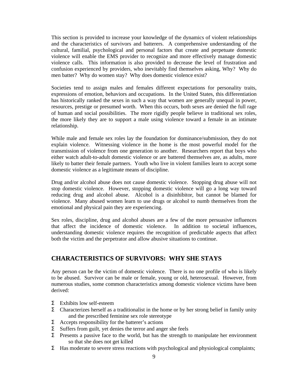This section is provided to increase your knowledge of the dynamics of violent relationships and the characteristics of survivors and batterers. A comprehensive understanding of the cultural, familial, psychological and personal factors that create and perpetuate domestic violence will enable the EMS provider to recognize and more effectively manage domestic violence calls. This information is also provided to decrease the level of frustration and confusion experienced by providers, who inevitably find themselves asking, Why? Why do men batter? Why do women stay? Why does domestic violence exist?

Societies tend to assign males and females different expectations for personality traits, expressions of emotion, behaviors and occupations. In the United States, this differentiation has historically ranked the sexes in such a way that women are generally unequal in power, resources, prestige or presumed worth. When this occurs, both sexes are denied the full rage of human and social possibilities. The more rigidly people believe in traditional sex roles, the more likely they are to support a male using violence toward a female in an intimate relationship.

While male and female sex roles lay the foundation for dominance/submission, they do not explain violence. Witnessing violence in the home is the most powerful model for the transmission of violence from one generation to another. Researchers report that boys who either watch adult-to-adult domestic violence or are battered themselves are, as adults, more likely to batter their female partners. Youth who live in violent families learn to accept some domestic violence as a legitimate means of discipline.

Drug and/or alcohol abuse does not cause domestic violence. Stopping drug abuse will not stop domestic violence. However, stopping domestic violence will go a long way toward reducing drug and alcohol abuse. Alcohol is a disinhibitor, but cannot be blamed for violence. Many abused women learn to use drugs or alcohol to numb themselves from the emotional and physical pain they are experiencing.

Sex roles, discipline, drug and alcohol abuses are a few of the more persuasive influences that affect the incidence of domestic violence. In addition to societal influences, understanding domestic violence requires the recognition of predictable aspects that affect both the victim and the perpetrator and allow abusive situations to continue.

#### **CHARACTERISTICS OF SURVIVORS: WHY SHE STAYS**

Any person can be the victim of domestic violence. There is no one profile of who is likely to be abused. Survivor can be male or female, young or old, heterosexual. However, from numerous studies, some common characteristics among domestic violence victims have been derived:

- Σ Exhibits low self-esteem
- $Σ$  Characterizes herself as a traditionalist in the home or by her strong belief in family unity and the prescribed feminine sex role stereotype
- $\sum$  Accepts responsibility for the batterer's actions
- Σ Suffers from guilt, yet denies the terror and anger she feels
- Σ Presents a passive face to the world, but has the strength to manipulate her environment so that she does not get killed
- Σ Has moderate to severe stress reactions with psychological and physiological complaints;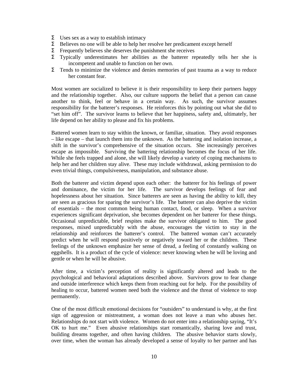- $Σ$  Uses sex as a way to establish intimacy
- Σ Believes no one will be able to help her resolve her predicament except herself
- $\Sigma$  Frequently believes she deserves the punishment she receives
- Σ Typically underestimates her abilities as the batterer repeatedly tells her she is incompetent and unable to function on her own.
- $Σ$  Tends to minimize the violence and denies memories of past trauma as a way to reduce her constant fear.

Most women are socialized to believe it is their responsibility to keep their partners happy and the relationship together. Also, our culture supports the belief that a person can cause another to think, feel or behave in a certain way. As such, the survivor assumes responsibility for the batterer's responses. He reinforces this by pointing out what she did to "set him off". The survivor learns to believe that her happiness, safety and, ultimately, her life depend on her ability to please and fix his problems.

Battered women learn to stay within the known, or familiar, situation. They avoid responses – like escape – that launch them into the unknown. As the battering and isolation increase, a shift in the survivor's comprehensive of the situation occurs. She increasingly perceives escape as impossible. Surviving the battering relationship becomes the focus of her life. While she feels trapped and alone, she will likely develop a variety of coping mechanisms to help her and her children stay alive. These may include withdrawal, asking permission to do even trivial things, compulsiveness, manipulation, and substance abuse.

Both the batterer and victim depend upon each other: the batterer for his feelings of power and dominance, the victim for her life. The survivor develops feelings of fear and hopelessness about her situation. Since batterers are seen as having the ability to kill, they are seen as gracious for sparing the survivor's life. The batterer can also deprive the victim of essentials – the most common being human contact, food, or sleep. When a survivor experiences significant deprivation, she becomes dependent on her batterer for these things. Occasional unpredictable, brief respites make the survivor obligated to him. The good responses, mixed unpredictably with the abuse, encourages the victim to stay in the relationship and reinforces the batterer's control. The battered woman can't accurately predict when he will respond positively or negatively toward her or the children. These feelings of the unknown emphasize her sense of dread, a feeling of constantly walking on eggshells. It is a product of the cycle of violence: never knowing when he will be loving and gentle or when he will be abusive.

After time, a victim's perception of reality is significantly altered and leads to the psychological and behavioral adaptations described above. Survivors grow to fear change and outside interference which keeps them from reaching out for help. For the possibility of healing to occur, battered women need both the violence and the threat of violence to stop permanently.

One of the most difficult emotional decisions for "outsiders" to understand is why, at the first sign of aggression or mistreatment, a woman does not leave a man who abuses her. Relationships do not start with violence. Women do not enter into a relationship saying, "It's OK to hurt me." Even abusive relationships start romantically, sharing love and trust, building dreams together, and often having children. The abusive behavior starts slowly, over time, when the woman has already developed a sense of loyalty to her partner and has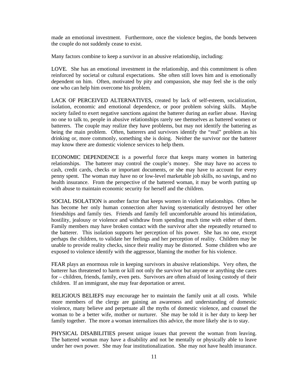made an emotional investment. Furthermore, once the violence begins, the bonds between the couple do not suddenly cease to exist.

Many factors combine to keep a survivor in an abusive relationship, including:

LOVE. She has an emotional investment in the relationship, and this commitment is often reinforced by societal or cultural expectations. She often still loves him and is emotionally dependent on him. Often, motivated by pity and compassion, she may feel she is the only one who can help him overcome his problem.

LACK OF PERCEIVED ALTERNATIVES, created by lack of self-esteem, socialization, isolation, economic and emotional dependence, or poor problem solving skills. Maybe society failed to exert negative sanctions against the batterer during an earlier abuse. Having no one to talk to, people in abusive relationships rarely see themselves as battered women or batterers. The couple may realize they have problems, but may not identify the battering as being the main problem. Often, batterers and survivors identify the "real" problem as his drinking or, more commonly, something she is doing. Neither the survivor nor the batterer may know there are domestic violence services to help them.

ECONOMIC DEPENDENCE is a powerful force that keeps many women in battering relationships. The batterer may control the couple's money. She may have no access to cash, credit cards, checks or important documents, or she may have to account for every penny spent. The woman may have no or low-level marketable job skills, no savings, and no health insurance. From the perspective of the battered woman, it may be worth putting up with abuse to maintain economic security for herself and the children.

SOCIAL ISOLATION is another factor that keeps women in violent relationships. Often he has become her only human connection after having systematically destroyed her other friendships and family ties. Friends and family fell uncomfortable around his intimidation, hostility, jealousy or violence and withdraw from spending much time with either of them. Family members may have broken contact with the survivor after she repeatedly returned to the batterer. This isolation supports her perception of his power. She has no one, except perhaps the children, to validate her feelings and her perception of reality. Children may be unable to provide reality checks, since their reality may be distorted. Some children who are exposed to violence identify with the aggressor, blaming the mother for his violence.

FEAR plays an enormous role in keeping survivors in abusive relationships. Very often, the batterer has threatened to harm or kill not only the survivor but anyone or anything she cares for – children, friends, family, even pets. Survivors are often afraid of losing custody of their children. If an immigrant, she may fear deportation or arrest.

RELIGIOUS BELIEFS may encourage her to maintain the family unit at all costs. While more members of the clergy are gaining an awareness and understanding of domestic violence, many believe and perpetuate all the myths of domestic violence, and counsel the woman to be a better wife, mother or nurturer. She may be told it is her duty to keep her family together. The more a woman internalizes this advice, the more likely she is to stay.

PHYSICAL DISABILITIES present unique issues that prevent the woman from leaving. The battered woman may have a disability and not be mentally or physically able to leave under her own power. She may fear institutionalization. She may not have health insurance.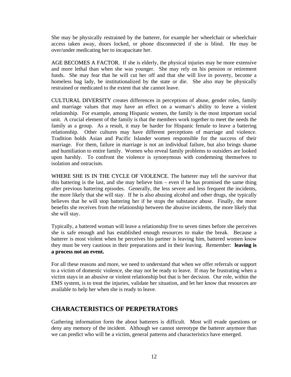She may be physically restrained by the batterer, for example her wheelchair or wheelchair access taken away, doors locked, or phone disconnected if she is blind. He may be over/under medicating her to incapacitate her.

AGE BECOMES A FACTOR. If she is elderly, the physical injuries may be more extensive . and more lethal than when she was younger. She may rely on his pension or retirement funds. She may fear that he will cut her off and that she will live in poverty, become a homeless bag lady, be institutionalized by the state or die. She also may be physically restrained or medicated to the extent that she cannot leave.

CULTURAL DIVERSITY creates differences in perceptions of abuse, gender roles, family and marriage values that may have an effect on a woman's ability to leave a violent relationship. For example, among Hispanic women, the family is the most important social unit. A crucial element of the family is that the members work together to meet the needs the family as a group. As a result, it may be harder for Hispanic female to leave a battering relationship. Other cultures may have different perceptions of marriage and violence. Tradition holds Asian and Pacific Islander women responsible for the success of their marriage. For them, failure in marriage is not an individual failure, but also brings shame and humiliation to entire family. Women who reveal family problems to outsiders are looked upon harshly. To confront the violence is synonymous with condemning themselves to isolation and ostracism.

WHERE SHE IS IN THE CYCLE OF VIOLENCE. The batterer may tell the survivor that this battering is the last, and she may believe him – even if he has promised the same thing after previous battering episodes. Generally, the less severe and less frequent the incidents, the more likely that she will stay. If he is also abusing alcohol and other drugs, she typically believes that he will stop battering her if he stops the substance abuse. Finally, the more benefits she receives from the relationship between the abusive incidents, the more likely that she will stay.

Typically, a battered woman will leave a relationship five to seven times before she perceives she is safe enough and has established enough resources to make the break. Because a batterer is most violent when he perceives his partner is leaving him, battered women know they must be very cautious in their preparations and in their leaving. Remember: **leaving is a process not an event.**

For all these reasons and more, we need to understand that when we offer referrals or support to a victim of domestic violence, she may not be ready to leave. If may be frustrating when a victim stays in an abusive or violent relationship but that is her decision. Our role, within the EMS system, is to treat the injuries, validate her situation, and let her know that resources are available to help her when she is ready to leave.

#### **CHARACTERISTICS OF PERPETRATORS**

Gathering information form the about batterers is difficult. Most will evade questions or deny any memory of the incident. Although we cannot stereotype the batterer anymore than we can predict who will be a victim, general patterns and characteristics have emerged.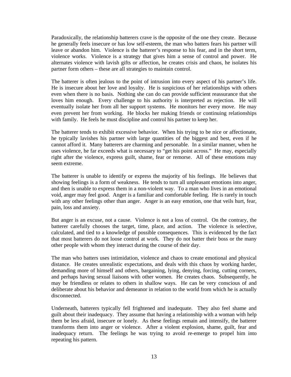Paradoxically, the relationship batterers crave is the opposite of the one they create. Because he generally feels insecure or has low self-esteem, the man who batters fears his partner will leave or abandon him. Violence is the batterer's response to his fear, and in the short term, violence works. Violence is a strategy that gives him a sense of control and power. He alternates violence with lavish gifts or affection, he creates crisis and chaos, he isolates his partner form others – these are all strategies to maintain control.

The batterer is often jealous to the point of intrusion into every aspect of his partner's life. He is insecure about her love and loyalty. He is suspicious of her relationships with others even when there is no basis. Nothing she can do can provide sufficient reassurance that she loves him enough. Every challenge to his authority is interpreted as rejection. He will eventually isolate her from all her support systems. He monitors her every move. He may even prevent her from working. He blocks her making friends or continuing relationships with family. He feels he must discipline and control his partner to keep her.

The batterer tends to exhibit excessive behavior. When his trying to be nice or affectionate, he typically lavishes his partner with large quantities of the biggest and best, even if he cannot afford it. Many batterers are charming and personable. In a similar manner, when he uses violence, he far exceeds what is necessary to "get his point across." He may, especially right after the violence, express guilt, shame, fear or remorse. All of these emotions may seem extreme.

The batterer is unable to identify or express the majority of his feelings. He believes that showing feelings is a form of weakness. He tends to turn all unpleasant emotions into anger, and then is unable to express them in a non-violent way. To a man who lives in an emotional void, anger may feel good. Anger is a familiar and comfortable feeling. He is rarely in touch with any other feelings other than anger. Anger is an easy emotion, one that veils hurt, fear, pain, loss and anxiety.

But anger is an excuse, not a cause. Violence is not a loss of control. On the contrary, the batterer carefully chooses the target, time, place, and action. The violence is selective, calculated, and tied to a knowledge of possible consequences. This is evidenced by the fact that most batterers do not loose control at work. They do not batter their boss or the many other people with whom they interact during the course of their day.

The man who batters uses intimidation, violence and chaos to create emotional and physical distance. He creates unrealistic expectations, and deals with this chaos by working harder, demanding more of himself and others, bargaining, lying, denying, forcing, cutting corners, and perhaps having sexual liaisons with other women. He creates chaos. Subsequently, he may be friendless or relates to others in shallow ways. He can be very conscious of and deliberate about his behavior and demeanor in relation to the world from which he is actually disconnected.

Underneath, batterers typically fell frightened and inadequate. They also feel shame and guilt about their inadequacy. They assume that having a relationship with a woman with help them be less afraid, insecure or lonely. As these feelings remain and intensify, the batterer transforms them into anger or violence. After a violent explosion, shame, guilt, fear and inadequacy return. The feelings he was trying to avoid re-emerge to propel him into repeating his pattern.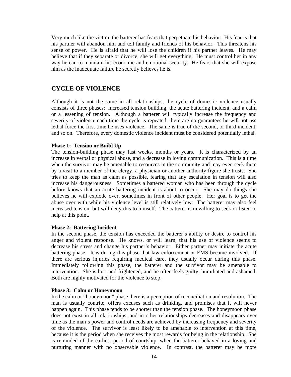Very much like the victim, the batterer has fears that perpetuate his behavior. His fear is that his partner will abandon him and tell family and friends of his behavior. This threatens his sense of power. He is afraid that he will lose the children if his partner leaves. He may believe that if they separate or divorce, she will get everything. He must control her in any way he can to maintain his economic and emotional security. He fears that she will expose him as the inadequate failure he secretly believes he is.

#### **CYCLE OF VIOLENCE**

Although it is not the same in all relationships, the cycle of domestic violence usually consists of three phases: increased tension building, the acute battering incident, and a calm or a lessening of tension. Although a batterer will typically increase the frequency and severity of violence each time the cycle is repeated, there are no guarantees he will not use lethal force the first time he uses violence. The same is true of the second, or third incident, and so on. Therefore, every domestic violence incident must be considered potentially lethal.

#### **Phase 1: Tension or Build Up**

The tension-building phase may last weeks, months or years. It is characterized by an increase in verbal or physical abuse, and a decrease in loving communication. This is a time when the survivor may be amenable to resources in the community and may even seek them by a visit to a member of the clergy, a physician or another authority figure she trusts. She tries to keep the man as calm as possible, fearing that any escalation in tension will also increase his dangerousness. Sometimes a battered woman who has been through the cycle before knows that an acute battering incident is about to occur. She may do things she believes he will explode over, sometimes in front of other people. Her goal is to get the abuse over with while his violence level is still relatively low. The batterer may also feel increased tension, but will deny this to himself. The batterer is unwilling to seek or listen to help at this point.

#### **Phase 2: Battering Incident**

In the second phase, the tension has exceeded the batterer's ability or desire to control his anger and violent response. He knows, or will learn, that his use of violence seems to decrease his stress and change his partner's behavior. Either partner may initiate the acute battering phase. It is during this phase that law enforcement or EMS became involved. If there are serious injuries requiring medical care, they usually occur during this phase. Immediately following this phase, the batterer and the survivor may be amenable to intervention. She is hurt and frightened, and he often feels guilty, humiliated and ashamed. Both are highly motivated for the violence to stop.

#### **Phase 3: Calm or Honeymoon**

In the calm or "honeymoon" phase there is a perception of reconciliation and resolution. The man is usually contrite, offers excuses such as drinking, and promises that it will never happen again. This phase tends to be shorter than the tension phase. The honeymoon phase does not exist in all relationships, and in other relationships decreases and disappears over time as the man's power and control needs are achieved by increasing frequency and severity of the violence. The survivor is least likely to be amenable to intervention at this time, because it is the period when she receives the most rewards for being in the relationship. She is reminded of the earliest period of courtship, when the batterer behaved in a loving and nurturing manner with no observable violence. In contrast, the batterer may be more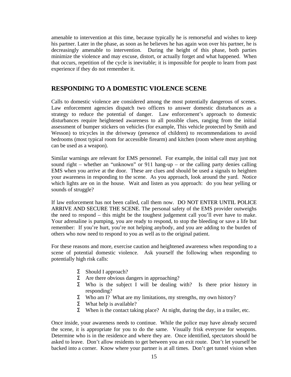amenable to intervention at this time, because typically he is remorseful and wishes to keep his partner. Later in the phase, as soon as he believes he has again won over his partner, he is decreasingly amenable to intervention. During the height of this phase, both parties minimize the violence and may excuse, distort, or actually forget and what happened. When that occurs, repetition of the cycle is inevitable; it is impossible for people to learn from past experience if they do not remember it.

#### **RESPONDING TO A DOMESTIC VIOLENCE SCENE**

Calls to domestic violence are considered among the most potentially dangerous of scenes. Law enforcement agencies dispatch two officers to answer domestic disturbances as a strategy to reduce the potential of danger. Law enforcement's approach to domestic disturbances require heightened awareness to all possible clues, ranging from the initial assessment of bumper stickers on vehicles (for example, This vehicle protected by Smith and Wesson) to tricycles in the driveway (presence of children) to recommendations to avoid bedrooms (most typical room for accessible firearm) and kitchen (room where most anything can be used as a weapon).

Similar warnings are relevant for EMS personnel. For example, the initial call may just not sound right – whether an "unknown" or 911 hang-up – or the calling party denies calling EMS when you arrive at the door. These are clues and should be used a signals to heighten your awareness in responding to the scene. As you approach, look around the yard. Notice which lights are on in the house. Wait and listen as you approach: do you hear yelling or sounds of struggle?

If law enforcement has not been called, call them now. DO NOT ENTER UNTIL POLICE ARRIVE AND SECURE THE SCENE. The personal safety of the EMS provider outweighs the need to respond – this might be the toughest judgement call you'll ever have to make. Your adrenaline is pumping, you are ready to respond, to stop the bleeding or save a life but remember: If you're hurt, you're not helping anybody, and you are adding to the burden of others who now need to respond to you as well as to the original patient.

For these reasons and more, exercise caution and heightened awareness when responding to a scene of potential domestic violence. Ask yourself the following when responding to potentially high risk calls:

- Σ Should I approach?
- $Σ$  Are there obvious dangers in approaching?
- Σ Who is the subject I will be dealing with? Is there prior history in responding?
- Σ Who am I? What are my limitations, my strengths, my own history?
- Σ What help is available?
- $Σ$  When is the contact taking place? At night, during the day, in a trailer, etc.

Once inside, your awareness needs to continue. While the police may have already secured the scene, it is appropriate for you to do the same. Visually frisk everyone for weapons. Determine who is in the residence and where they are. Once identified, spectators should be asked to leave. Don't allow residents to get between you an exit route. Don't let yourself be backed into a corner. Know where your partner is at all times. Don't get tunnel vision when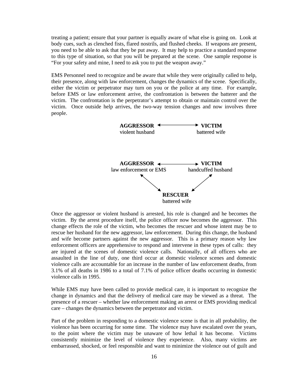treating a patient; ensure that your partner is equally aware of what else is going on. Look at body cues, such as clenched fists, flared nostrils, and flushed cheeks. If weapons are present, you need to be able to ask that they be put away. It may help to practice a standard response to this type of situation, so that you will be prepared at the scene. One sample response is "For your safety and mine, I need to ask you to put the weapon away."

EMS Personnel need to recognize and be aware that while they were originally called to help, their presence, along with law enforcement, changes the dynamics of the scene. Specifically, either the victim or perpetrator may turn on you or the police at any time. For example, before EMS or law enforcement arrive, the confrontation is between the batterer and the victim. The confrontation is the perpetrator's attempt to obtain or maintain control over the victim. Once outside help arrives, the two-way tension changes and now involves three people.



Once the aggressor or violent husband is arrested, his role is changed and he becomes the victim. By the arrest procedure itself, the police officer now becomes the aggressor. This change effects the role of the victim, who becomes the rescuer and whose intent may be to rescue her husband for the new aggressor, law enforcement. During this change, the husband and wife become partners against the new aggressor. This is a primary reason why law enforcement officers are apprehensive to respond and intervene in these types of calls: they are injured at the scenes of domestic violence calls. Nationally, of all officers who are assaulted in the line of duty, one third occur at domestic violence scenes and domestic violence calls are accountable for an increase in the number of law enforcement deaths, from 3.1% of all deaths in 1986 to a total of 7.1% of police officer deaths occurring in domestic violence calls in 1995.

While EMS may have been called to provide medical care, it is important to recognize the change in dynamics and that the delivery of medical care may be viewed as a threat. The presence of a rescuer – whether law enforcement making an arrest or EMS providing medical care – changes the dynamics between the perpetrator and victim.

Part of the problem in responding to a domestic violence scene is that in all probability, the violence has been occurring for some time. The violence may have escalated over the years, to the point where the victim may be unaware of how lethal it has become. Victims consistently minimize the level of violence they experience. Also, many victims are embarrassed, shocked, or feel responsible and want to minimize the violence out of guilt and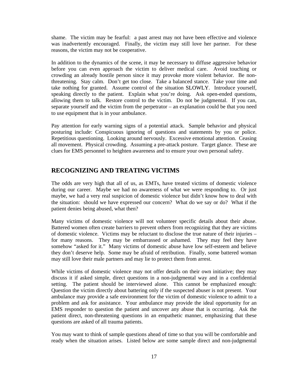shame. The victim may be fearful: a past arrest may not have been effective and violence was inadvertently encouraged. Finally, the victim may still love her partner. For these reasons, the victim may not be cooperative.

In addition to the dynamics of the scene, it may be necessary to diffuse aggressive behavior before you can even approach the victim to deliver medical care. Avoid touching or crowding an already hostile person since it may provoke more violent behavior. Be nonthreatening. Stay calm. Don't get too close. Take a balanced stance. Take your time and take nothing for granted. Assume control of the situation SLOWLY. Introduce yourself, speaking directly to the patient. Explain what you're doing. Ask open-ended questions, allowing them to talk. Restore control to the victim. Do not be judgmental. If you can, separate yourself and the victim from the perpetrator – an explanation could be that you need to use equipment that is in your ambulance.

Pay attention for early warning signs of a potential attack. Sample behavior and physical posturing include: Conspicuous ignoring of questions and statements by you or police. Repetitious questioning. Looking around nervously. Excessive emotional attention. Ceasing all movement. Physical crowding. Assuming a pre-attack posture. Target glance. These are clues for EMS personnel to heighten awareness and to ensure your own personal safety.

#### **RECOGNIZING AND TREATING VICTIMS**

The odds are very high that all of us, as EMTs, have treated victims of domestic violence during our career. Maybe we had no awareness of what we were responding to. Or just maybe, we had a very real suspicion of domestic violence but didn't know how to deal with the situation: should we have expressed our concern? What do we say or do? What if the patient denies being abused, what then?

Many victims of domestic violence will not volunteer specific details about their abuse. Battered women often create barriers to prevent others from recognizing that they are victims of domestic violence. Victims may be reluctant to disclose the true nature of their injuries – for many reasons. They may be embarrassed or ashamed. They may feel they have somehow "asked for it." Many victims of domestic abuse have low self-esteem and believe they don't deserve help. Some may be afraid of retribution. Finally, some battered woman may still love their male partners and may lie to protect them from arrest.

While victims of domestic violence may not offer details on their own initiative; they may discuss it if asked simple, direct questions in a non-judgmental way and in a confidential setting. The patient should be interviewed alone. This cannot be emphasized enough: Question the victim directly about battering only if the suspected abuser is not present. Your ambulance may provide a safe environment for the victim of domestic violence to admit to a problem and ask for assistance. Your ambulance may provide the ideal opportunity for an EMS responder to question the patient and uncover any abuse that is occurring. Ask the patient direct, non-threatening questions in an empathetic manner, emphasizing that these questions are asked of all trauma patients.

You may want to think of sample questions ahead of time so that you will be comfortable and ready when the situation arises. Listed below are some sample direct and non-judgmental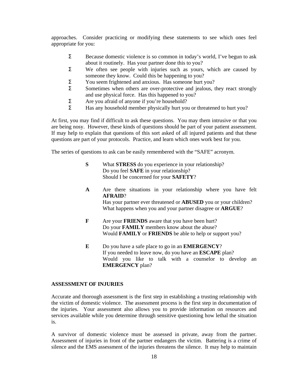approaches. Consider practicing or modifying these statements to see which ones feel appropriate for you:

- $Σ$  Because domestic violence is so common in today's world, I've begun to ask about it routinely. Has your partner done this to you?
- $Σ$  We often see people with injuries such as yours, which are caused by someone they know. Could this be happening to you?
- Σ You seem frightened and anxious. Has someone hurt you?
- Σ Sometimes when others are over-protective and jealous, they react strongly and use physical force. Has this happened to you?
- Σ Are you afraid of anyone if you're household?
- Σ Has any household member physically hurt you or threatened to hurt you?

At first, you may find if difficult to ask these questions. You may them intrusive or that you are being nosy. However, these kinds of questions should be part of your patient assessment. If may help to explain that questions of this sort asked of all injured patients and that these questions are part of your protocols. Practice, and learn which ones work best for you.

The series of questions to ask can be easily remembered with the "SAFE" acronym.

- **S** What **STRESS** do you experience in your relationship? Do you feel **SAFE** in your relationship? Should I be concerned for your **SAFETY**?
- **A** Are there situations in your relationship where you have felt **AFRAID**? Has your partner ever threatened or **ABUSED** you or your children? What happens when you and your partner disagree or **ARGUE**?
- **F** Are your **FRIENDS** aware that you have been hurt? Do your **FAMILY** members know about the abuse? Would **FAMILY** or **FRIENDS** be able to help or support you?
- **E** Do you have a safe place to go in an **EMERGENCY**? If you needed to leave now, do you have an **ESCAPE** plan? Would you like to talk with a counselor to develop an **EMERGENCY** plan?

#### **ASSESSMENT OF INJURIES**

Accurate and thorough assessment is the first step in establishing a trusting relationship with the victim of domestic violence. The assessment process is the first step in documentation of the injuries. Your assessment also allows you to provide information on resources and services available while you determine through sensitive questioning how lethal the situation is.

A survivor of domestic violence must be assessed in private, away from the partner. Assessment of injuries in front of the partner endangers the victim. Battering is a crime of silence and the EMS assessment of the injuries threatens the silence. It may help to maintain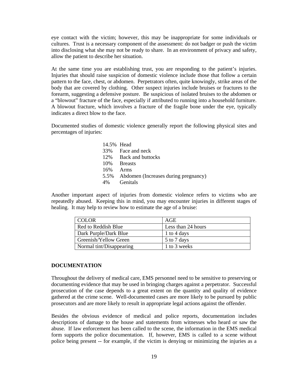eye contact with the victim; however, this may be inappropriate for some individuals or cultures. Trust is a necessary component of the assessment: do not badger or push the victim into disclosing what she may not be ready to share. In an environment of privacy and safety, allow the patient to describe her situation.

At the same time you are establishing trust, you are responding to the patient's injuries. Injuries that should raise suspicion of domestic violence include those that follow a certain pattern to the face, chest, or abdomen. Perpetrators often, quite knowingly, strike areas of the body that are covered by clothing. Other suspect injuries include bruises or fractures to the forearm, suggesting a defensive posture. Be suspicious of isolated bruises to the abdomen or a "blowout" fracture of the face, especially if attributed to running into a household furniture. A blowout fracture, which involves a fracture of the fragile bone under the eye, typically indicates a direct blow to the face.

Documented studies of domestic violence generally report the following physical sites and percentages of injuries:

| 14.5% Head |                                           |
|------------|-------------------------------------------|
|            | 33% Face and neck                         |
|            | 12\% Back and buttocks                    |
|            | 10\% Breasts                              |
| 16%        | – Arms                                    |
|            | 5.5% Abdomen (Increases during pregnancy) |
| 4%         | <b>Genitals</b>                           |

Another important aspect of injuries from domestic violence refers to victims who are repeatedly abused. Keeping this in mind, you may encounter injuries in different stages of healing. It may help to review how to estimate the age of a bruise:

| <b>COLOR</b>             | AGE                |
|--------------------------|--------------------|
| Red to Reddish Blue      | Less than 24 hours |
| Dark Purple/Dark Blue    | 1 to 4 days        |
| Greenish/Yellow Green    | 5 to 7 days        |
| Normal tint/Disappearing | 1 to 3 weeks       |

#### **DOCUMENTATION**

Throughout the delivery of medical care, EMS personnel need to be sensitive to preserving or documenting evidence that may be used in bringing charges against a perpetrator. Successful prosecution of the case depends to a great extent on the quantity and quality of evidence gathered at the crime scene. Well-documented cases are more likely to be pursued by public prosecutors and are more likely to result in appropriate legal actions against the offender.

Besides the obvious evidence of medical and police reports, documentation includes descriptions of damage to the house and statements from witnesses who heard or saw the abuse. If law enforcement has been called to the scene, the information in the EMS medical form supports the police documentation. If, however, EMS is called to a scene without police being present -- for example, if the victim is denying or minimizing the injuries as a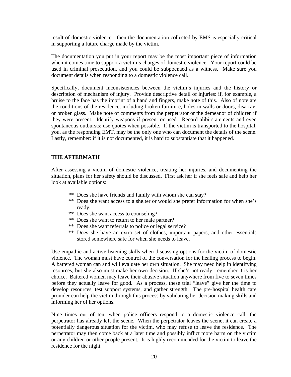result of domestic violence—then the documentation collected by EMS is especially critical in supporting a future charge made by the victim.

The documentation you put in your report may be the most important piece of information when it comes time to support a victim's charges of domestic violence. Your report could be used in criminal prosecution, and you could be subpoenaed as a witness. Make sure you document details when responding to a domestic violence call.

Specifically, document inconsistencies between the victim's injuries and the history or description of mechanism of injury. Provide descriptive detail of injuries: if, for example, a bruise to the face has the imprint of a hand and fingers, make note of this. Also of note are the conditions of the residence, including broken furniture, holes in walls or doors, disarray, or broken glass. Make note of comments from the perpetrator or the demeanor of children if they were present. Identify weapons if present or used. Record alibi statements and even spontaneous outbursts: use quotes when possible. If the victim is transported to the hospital, you, as the responding EMT, may be the only one who can document the details of the scene. Lastly, remember: if it is not documented, it is hard to substantiate that it happened.

#### **THE AFTERMATH**

After assessing a victim of domestic violence, treating her injuries, and documenting the situation, plans for her safety should be discussed, First ask her if she feels safe and help her look at available options:

- \*\* Does she have friends and family with whom she can stay?
- \*\* Does she want access to a shelter or would she prefer information for when she's ready.
- \*\* Does she want access to counseling?
- \*\* Does she want to return to her male partner?
- \*\* Does she want referrals to police or legal service?
- \*\* Does she have an extra set of clothes, important papers, and other essentials stored somewhere safe for when she needs to leave.

Use empathic and active listening skills when discussing options for the victim of domestic violence. The woman must have control of the conversation for the healing process to begin. A battered woman can and will evaluate her own situation. She may need help in identifying resources, but she also must make her own decision. If she's not ready, remember it is her choice. Battered women may leave their abusive situation anywhere from five to seven times before they actually leave for good. As a process, these trial "leave" give her the time to develop resources, test support systems, and gather strength. The pre-hospital health care provider can help the victim through this process by validating her decision making skills and informing her of her options.

Nine times out of ten, when police officers respond to a domestic violence call, the perpetrator has already left the scene. When the perpetrator leaves the scene, it can create a potentially dangerous situation for the victim, who may refuse to leave the residence. The perpetrator may then come back at a later time and possibly inflict more harm on the victim or any children or other people present. It is highly recommended for the victim to leave the residence for the night.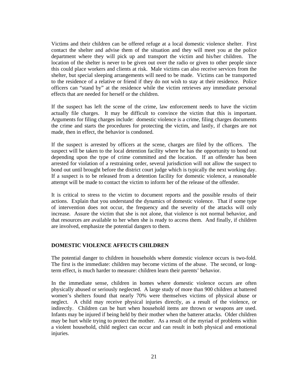Victims and their children can be offered refuge at a local domestic violence shelter. First contact the shelter and advise them of the situation and they will meet you at the police department where they will pick up and transport the victim and his/her children. The location of the shelter is never to be given out over the radio or given to other people since this could place workers and clients at risk. Male victims can also receive services from the shelter, but special sleeping arrangements will need to be made. Victims can be transported to the residence of a relative or friend if they do not wish to stay at their residence. Police officers can "stand by" at the residence while the victim retrieves any immediate personal effects that are needed for herself or the children.

If the suspect has left the scene of the crime, law enforcement needs to have the victim actually file charges. It may be difficult to convince the victim that this is important. Arguments for filing charges include: domestic violence is a crime, filing charges documents the crime and starts the procedures for protecting the victim, and lastly, if charges are not made, then in effect, the behavior is condoned.

If the suspect is arrested by officers at the scene, charges are filed by the officers. The suspect will be taken to the local detention facility where he has the opportunity to bond out depending upon the type of crime committed and the location. If an offender has been arrested for violation of a restraining order, several jurisdiction will not allow the suspect to bond out until brought before the district court judge which is typically the next working day. If a suspect is to be released from a detention facility for domestic violence, a reasonable attempt will be made to contact the victim to inform her of the release of the offender.

It is critical to stress to the victim to document reports and the possible results of their actions. Explain that you understand the dynamics of domestic violence. That if some type of intervention does not occur, the frequency and the severity of the attacks will only increase. Assure the victim that she is not alone, that violence is not normal behavior, and that resources are available to her when she is ready to access them. And finally, if children are involved, emphasize the potential dangers to them.

#### **DOMESTIC VIOLENCE AFFECTS CHILDREN**

The potential danger to children in households where domestic violence occurs is two-fold. The first is the immediate: children may become victims of the abuse. The second, or longterm effect, is much harder to measure: children learn their parents' behavior.

In the immediate sense, children in homes where domestic violence occurs are often physically abused or seriously neglected. A large study of more than 900 children at battered women's shelters found that nearly 70% were themselves victims of physical abuse or neglect. A child may receive physical injuries directly, as a result of the violence, or indirectly. Children can be hurt when household items are thrown or weapons are used. Infants may be injured if being held by their mother when the batterer attacks. Older children may be hurt while trying to protect the mother. As a result of the myriad of problems within a violent household, child neglect can occur and can result in both physical and emotional injuries.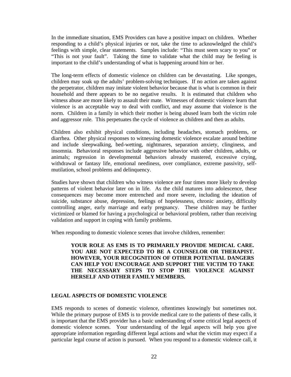In the immediate situation, EMS Providers can have a positive impact on children. Whether responding to a child's physical injuries or not, take the time to acknowledged the child's feelings with simple, clear statements. Samples include: "This must seem scary to you" or "This is not your fault". Taking the time to validate what the child may be feeling is important to the child's understanding of what is happening around him or her.

The long-term effects of domestic violence on children can be devastating. Like sponges, children may soak up the adults' problem-solving techniques. If no action are taken against the perpetrator, children may imitate violent behavior because that is what is common in their household and there appears to be no negative results. It is estimated that children who witness abuse are more likely to assault their mate. Witnesses of domestic violence learn that violence is an acceptable way to deal with conflict, and may assume that violence is the norm. Children in a family in which their mother is being abused learn both the victim role and aggressor role. This perpetuates the cycle of violence as children and then as adults.

Children also exhibit physical conditions, including headaches, stomach problems, or diarrhea. Other physical responses to witnessing domestic violence escalate around bedtime and include sleepwalking, bed-wetting, nightmares, separation anxiety, clinginess, and insomnia. Behavioral responses include aggressive behavior with other children, adults, or animals; regression in developmental behaviors already mastered, excessive crying, withdrawal or fantasy life, emotional neediness, over compliance, extreme passivity, selfmutilation, school problems and delinquency.

Studies have shown that children who witness violence are four times more likely to develop patterns of violent behavior later on in life. As the child matures into adolescence, these consequences may become more entrenched and more severe, including the ideation of suicide, substance abuse, depression, feelings of hopelessness, chronic anxiety, difficulty controlling anger, early marriage and early pregnancy. These children may be further victimized or blamed for having a psychological or behavioral problem, rather than receiving validation and support in coping with family problems.

When responding to domestic violence scenes that involve children, remember:

**YOUR ROLE AS EMS IS TO PRIMARILY PROVIDE MEDICAL CARE. YOU ARE NOT EXPECTED TO BE A COUNSELOR OR THERAPIST. HOWEVER, YOUR RECOGNITION OF OTHER POTENTIAL DANGERS CAN HELP YOU ENCOURAGE AND SUPPORT THE VICTIM TO TAKE THE NECESSARY STEPS TO STOP THE VIOLENCE AGAINST HERSELF AND OTHER FAMILY MEMBERS.** 

#### **LEGAL ASPECTS OF DOMESTIC VIOLENCE**

EMS responds to scenes of domestic violence, oftentimes knowingly but sometimes not. While the primary purpose of EMS is to provide medical care to the patients of these calls, it is important that the EMS provider has a basic understanding of some critical legal aspects of domestic violence scenes. Your understanding of the legal aspects will help you give appropriate information regarding different legal actions and what the victim may expect if a particular legal course of action is pursued. When you respond to a domestic violence call, it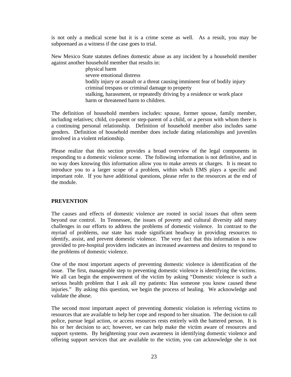is not only a medical scene but it is a crime scene as well. As a result, you may be subpoenaed as a witness if the case goes to trial.

New Mexico State statutes defines domestic abuse as any incident by a household member against another household member that results in:

> physical harm severe emotional distress bodily injury or assault or a threat causing imminent fear of bodily injury criminal trespass or criminal damage to property stalking, harassment, or repeatedly driving by a residence or work place harm or threatened harm to children

The definition of household members includes: spouse, former spouse, family member, including relatives; child, co-parent or step-parent of a child, or a person with whom there is a continuing personal relationship. Definition of household member also includes same genders. Definition of household member does include dating relationships and juveniles involved in a violent relationship.

Please realize that this section provides a broad overview of the legal components in responding to a domestic violence scene. The following information is not definitive, and in no way does knowing this information allow you to make arrests or charges. It is meant to introduce you to a larger scope of a problem, within which EMS plays a specific and important role. If you have additional questions, please refer to the resources at the end of the module.

#### **PREVENTION**

The causes and effects of domestic violence are rooted in social issues that often seem beyond our control. In Tennessee, the issues of poverty and cultural diversity add many challenges in our efforts to address the problems of domestic violence. In contrast to the myriad of problems, our state has made significant headway in providing resources to identify, assist, and prevent domestic violence. The very fact that this information is now provided to pre-hospital providers indicates an increased awareness and desires to respond to the problems of domestic violence.

One of the most important aspects of preventing domestic violence is identification of the issue. The first, manageable step to preventing domestic violence is identifying the victims. We all can begin the empowerment of the victim by asking "Domestic violence is such a serious health problem that I ask all my patients: Has someone you know caused these injuries." By asking this question, we begin the process of healing. We acknowledge and validate the abuse.

The second most important aspect of preventing domestic violation is referring victims to resources that are available to help her cope and respond to her situation. The decision to call police, pursue legal action, or access resources rests entirely with the battered person. It is his or her decision to act; however, we can help make the victim aware of resources and support systems. By heightening your own awareness in identifying domestic violence and offering support services that are available to the victim, you can acknowledge she is not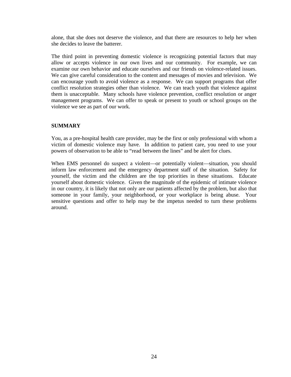alone, that she does not deserve the violence, and that there are resources to help her when she decides to leave the batterer.

The third point in preventing domestic violence is recognizing potential factors that may allow or accepts violence in our own lives and our community. For example, we can examine our own behavior and educate ourselves and our friends on violence-related issues. We can give careful consideration to the content and messages of movies and television. We can encourage youth to avoid violence as a response. We can support programs that offer conflict resolution strategies other than violence. We can teach youth that violence against them is unacceptable. Many schools have violence prevention, conflict resolution or anger management programs. We can offer to speak or present to youth or school groups on the violence we see as part of our work.

#### **SUMMARY**

You, as a pre-hospital health care provider, may be the first or only professional with whom a victim of domestic violence may have. In addition to patient care, you need to use your powers of observation to be able to "read between the lines" and be alert for clues.

When EMS personnel do suspect a violent—or potentially violent—situation, you should inform law enforcement and the emergency department staff of the situation. Safety for yourself, the victim and the children are the top priorities in these situations. Educate yourself about domestic violence. Given the magnitude of the epidemic of intimate violence in our country, it is likely that not only are our patients affected by the problem, but also that someone in your family, your neighborhood, or your workplace is being abuse. Your sensitive questions and offer to help may be the impetus needed to turn these problems around.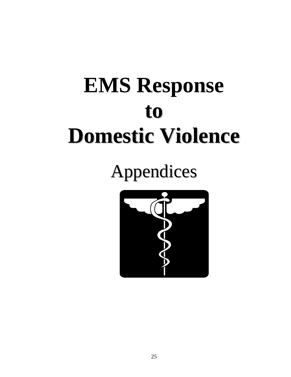# **EMS Response to Domestic Violence**

Appendices

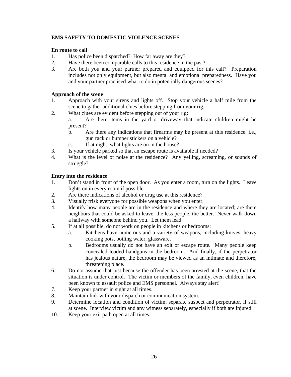#### **EMS SAFETY TO DOMESTIC VIOLENCE SCENES**

#### **En route to call**

- 1. Has police been dispatched? How far away are they?
- 2. Have there been comparable calls to this residence in the past?
- 3. Are both you and your partner prepared and equipped for this call? Preparation includes not only equipment, but also mental and emotional preparedness. Have you and your partner practiced what to do in potentially dangerous scenes?

#### **Approach of the scene**

- 1. Approach with your sirens and lights off. Stop your vehicle a half mile from the scene to gather additional clues before stepping from your rig.
- 2. What clues are evident before stepping out of your rig:
	- a. Are there items in the yard or driveway that indicate children might be present?
	- b. Are there any indications that firearms may be present at this residence, i.e., gun rack or bumper stickers on a vehicle?
	- c. If at night, what lights are on in the house?
- 3. Is your vehicle parked so that an escape route is available if needed?
- 4. What is the level or noise at the residence? Any yelling, screaming, or sounds of struggle?

#### **Entry into the residence**

- 1. Don't stand in front of the open door. As you enter a room, turn on the lights. Leave lights on in every room if possible.
- 2. Are there indications of alcohol or drug use at this residence?
- 3. Visually frisk everyone for possible weapons when you enter.
- 4. Identify how many people are in the residence and where they are located; are there neighbors that could be asked to leave: the less people, the better. Never walk down a hallway with someone behind you. Let them lead.
- 5. If at all possible, do not work on people in kitchens or bedrooms:
	- a. Kitchens have numerous and a variety of weapons, including knives, heavy cooking pots, boiling water, glassware.
	- b. Bedrooms usually do not have an exit or escape route. Many people keep concealed loaded handguns in the bedroom. And finally, if the perpetrator has jealous nature, the bedroom may be viewed as an intimate and therefore, threatening place.
- 6. Do not assume that just because the offender has been arrested at the scene, that the situation is under control. The victim or members of the family, even children, have been known to assault police and EMS personnel. Always stay alert!
- 7. Keep your partner in sight at all times.
- 8. Maintain link with your dispatch or communication system.
- 9. Determine location and condition of victim; separate suspect and perpetrator, if still at scene. Interview victim and any witness separately, especially if both are injured.
- 10. Keep your exit path open at all times.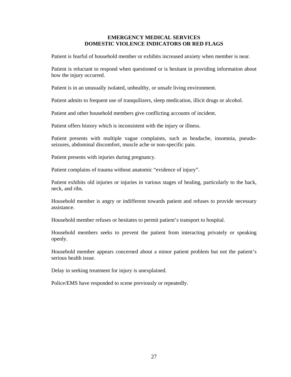#### **EMERGENCY MEDICAL SERVICES DOMESTIC VIOLENCE INDICATORS OR RED FLAGS**

Patient is fearful of household member or exhibits increased anxiety when member is near.

Patient is reluctant to respond when questioned or is hesitant in providing information about how the injury occurred.

Patient is in an unusually isolated, unhealthy, or unsafe living environment.

Patient admits to frequent use of tranquilizers, sleep medication, illicit drugs or alcohol.

Patient and other household members give conflicting accounts of incident.

Patient offers history which is inconsistent with the injury or illness.

Patient presents with multiple vague complaints, such as headache, insomnia, pseudoseizures, abdominal discomfort, muscle ache or non-specific pain.

Patient presents with injuries during pregnancy.

Patient complains of trauma without anatomic "evidence of injury".

Patient exhibits old injuries or injuries in various stages of healing, particularly to the back, neck, and ribs.

Household member is angry or indifferent towards patient and refuses to provide necessary assistance.

Household member refuses or hesitates to permit patient's transport to hospital.

Household members seeks to prevent the patient from interacting privately or speaking openly.

Household member appears concerned about a minor patient problem but not the patient's serious health issue.

Delay in seeking treatment for injury is unexplained.

Police/EMS have responded to scene previously or repeatedly.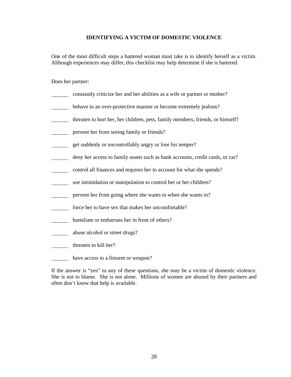#### **IDENTIFYING A VICTIM OF DOMESTIC VIOLENCE**

One of the most difficult steps a battered woman must take is to identify herself as a victim. Although experiences may differ, this checklist may help determine if she is battered.

Does her partner:

- constantly criticize her and her abilities as a wife or partner or mother?
- **behave in an over-protective manner or become extremely jealous?**
- threaten to hurt her, her children, pets, family members, friends, or himself?
- prevent her from seeing family or friends?
- get suddenly or uncontrollably angry or lose his temper?
- deny her access to family assets such as bank accounts, credit cards, or car?
- control all finances and requires her to account for what she spends?
- use intimidation or manipulation to control her or her children?
- prevent her from going where she wants to when she wants to?
- force her to have sex that makes her uncomfortable?
- humiliate or embarrass her in front of others?
- abuse alcohol or street drugs?
- threaten to kill her?
- have access to a firearm or weapon?

If the answer is "yes" to any of these questions, she may be a victim of domestic violence. She is not to blame. She is not alone. Millions of women are abused by their partners and often don't know that help is available.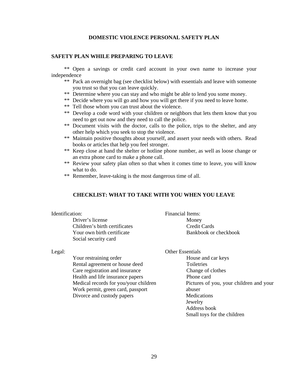#### **DOMESTIC VIOLENCE PERSONAL SAFETY PLAN**

#### **SAFETY PLAN WHILE PREPARING TO LEAVE**

 \*\* Open a savings or credit card account in your own name to increase your independence

- \*\* Pack an overnight bag (see checklist below) with essentials and leave with someone you trust so that you can leave quickly.
- \*\* Determine where you can stay and who might be able to lend you some money.
- \*\* Decide where you will go and how you will get there if you need to leave home.
- \*\* Tell those whom you can trust about the violence.
- \*\* Develop a code word with your children or neighbors that lets them know that you need to get out now and they need to call the police.
- \*\* Document visits with the doctor, calls to the police, trips to the shelter, and any other help which you seek to stop the violence.
- \*\* Maintain positive thoughts about yourself, and assert your needs with others. Read books or articles that help you feel stronger.
- \*\* Keep close at hand the shelter or hotline phone number, as well as loose change or an extra phone card to make a phone call.
- \*\* Review your safety plan often so that when it comes time to leave, you will know what to do.
- \*\* Remember, leave-taking is the most dangerous time of all.

#### **CHECKLIST: WHAT TO TAKE WITH YOU WHEN YOU LEAVE**

| Identification:               | Financial Items:      |
|-------------------------------|-----------------------|
| Driver's license              | Money                 |
| Children's birth certificates | Credit Cards          |
| Your own birth certificate    | Bankbook or checkbook |
| Social security card          |                       |

 Your restraining order Rental agreement or house deed Care registration and insurance Health and life insurance papers Medical records for you/your children Work permit, green card, passport Divorce and custody papers

Legal: Other Essentials

 House and car keys Toiletries Change of clothes Phone card Pictures of you, your children and your abuser **Medications**  Jewelry Address book Small toys for the children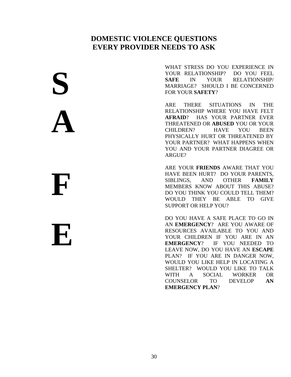#### **DOMESTIC VIOLENCE QUESTIONS EVERY PROVIDER NEEDS TO ASK**

WHAT STRESS DO YOU EXPERIENCE IN YOUR RELATIONSHIP? DO YOU FEEL **SAFE** IN YOUR RELATIONSHIP/ MARRIAGE? SHOULD I BE CONCERNED FOR YOUR **SAFETY**?

ARE THERE SITUATIONS IN THE RELATIONSHIP WHERE YOU HAVE FELT **AFRAID**? HAS YOUR PARTNER EVER THREATENED OR **ABUSED** YOU OR YOUR CHILDREN? HAVE YOU BEEN PHYSICALLY HURT OR THREATENED BY YOUR PARTNER? WHAT HAPPENS WHEN YOU AND YOUR PARTNER DIAGREE OR ARGUE?

ARE YOUR **FRIENDS** AWARE THAT YOU HAVE BEEN HURT? DO YOUR PARENTS, SIBLINGS, AND OTHER **FAMILY** MEMBERS KNOW ABOUT THIS ABUSE? DO YOU THINK YOU COULD TELL THEM? WOULD THEY BE ABLE TO GIVE SUPPORT OR HELP YOU?

DO YOU HAVE A SAFE PLACE TO GO IN AN **EMERGENCY**? ARE YOU AWARE OF RESOURCES AVAILABLE TO YOU AND YOUR CHILDREN IF YOU ARE IN AN **EMERGENCY**? IF YOU NEEDED TO LEAVE NOW, DO YOU HAVE AN **ESCAPE** PLAN? IF YOU ARE IN DANGER NOW, WOULD YOU LIKE HELP IN LOCATING A SHELTER? WOULD YOU LIKE TO TALK WITH A SOCIAL WORKER OR COUNSELOR TO DEVELOP **AN EMERGENCY PLAN**?

**F E** 

**S** 

 $\overline{a}$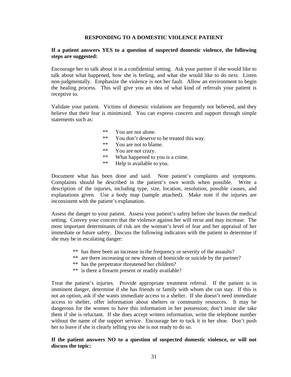#### **RESPONDING TO A DOMESTIC VIOLENCE PATIENT**

#### **If a patient answers YES to a question of suspected domestic violence, the following steps are suggested:**

Encourage her to talk about it in a confidential setting. Ask your partner if she would like to talk about what happened, how she is feeling, and what she would like to do next. Listen non-judgmentally. Emphasize the violence is not her fault. Allow an environment to begin the healing process. This will give you an idea of what kind of referrals your patient is receptive to.

Validate your patient. Victims of domestic violations are frequently not believed, and they believe that their fear is minimized. You can express concern and support through simple statements such as:

- \*\* You are not alone.
- \*\* You don't deserve to be treated this way.
- \*\* You are not to blame.
- \*\* You are not crazy.
- \*\* What happened to you is a crime.
- \*\* Help is available to you.

Document what has been done and said. Note patient's complaints and symptoms. Complaints should be described in the patient's own words when possible. Write a description of the injuries, including type, size, location, resolution, possible causes, and explanations given. Use a body map (sample attached). Make note if the injuries are inconsistent with the patient's explanation.

Assess the danger to your patient. Assess your patient's safety before she leaves the medical setting. Convey your concern that the violence against her will recur and may increase. The most important determinants of risk are the woman's level of fear and her appraisal of her immediate or future safety. Discuss the following indicators with the patient to determine if she may be in escalating danger:

- \*\* has there been an increase in the frequency or severity of the assaults?
- \*\* are there increasing or new threats of homicide or suicide by the partner?
- \*\* has the perpetrator threatened her children?
- \*\* is there a firearm present or readily available?

Treat the patient's injuries. Provide appropriate treatment referral. If the patient is in imminent danger, determine if she has friends or family with whom she can stay. If this is not an option, ask if she wants immediate access to a shelter. If she doesn't need immediate access to shelter, offer information about shelters or community resources. It may be dangerous for the women to have this information in her possession; don't insist she take them if she is reluctant. If she does accept written information, write the telephone number without the name of the support service. Encourage her to tuck it in her shoe. Don't push her to leave if she is clearly telling you she is not ready to do so.

#### **If the patient answers NO to a question of suspected domestic violence, or will not discuss the topic:**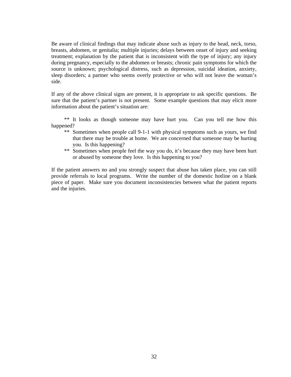Be aware of clinical findings that may indicate abuse such as injury to the head, neck, torso, breasts, abdomen, or genitalia; multiple injuries; delays between onset of injury and seeking treatment; explanation by the patient that is inconsistent with the type of injury; any injury during pregnancy, especially to the abdomen or breasts; chronic pain symptoms for which the source is unknown; psychological distress, such as depression, suicidal ideation, anxiety, sleep disorders; a partner who seems overly protective or who will not leave the woman's side.

If any of the above clinical signs are present, it is appropriate to ask specific questions. Be sure that the patient's partner is not present. Some example questions that may elicit more information about the patient's situation are:

 \*\* It looks as though someone may have hurt you. Can you tell me how this happened?

- \*\* Sometimes when people call 9-1-1 with physical symptoms such as yours, we find that there may be trouble at home. We are concerned that someone may be hurting you. Is this happening?
- \*\* Sometimes when people feel the way you do, it's because they may have been hurt or abused by someone they love. Is this happening to you?

If the patient answers no and you strongly suspect that abuse has taken place, you can still provide referrals to local programs. Write the number of the domestic hotline on a blank piece of paper. Make sure you document inconsistencies between what the patient reports and the injuries.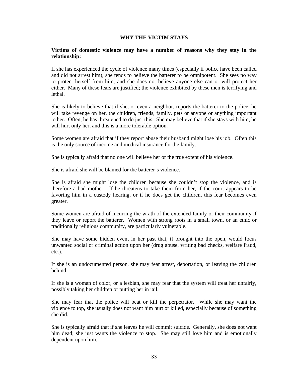#### **WHY THE VICTIM STAYS**

#### **Victims of domestic violence may have a number of reasons why they stay in the relationship:**

If she has experienced the cycle of violence many times (especially if police have been called and did not arrest him), she tends to believe the batterer to be omnipotent. She sees no way to protect herself from him, and she does not believe anyone else can or will protect her either. Many of these fears are justified; the violence exhibited by these men is terrifying and lethal.

She is likely to believe that if she, or even a neighbor, reports the batterer to the police, he will take revenge on her, the children, friends, family, pets or anyone or anything important to her. Often, he has threatened to do just this. She may believe that if she stays with him, he will hurt only her, and this is a more tolerable option.

Some women are afraid that if they report abuse their husband might lose his job. Often this is the only source of income and medical insurance for the family.

She is typically afraid that no one will believe her or the true extent of his violence.

She is afraid she will be blamed for the batterer's violence.

She is afraid she might lose the children because she couldn't stop the violence, and is therefore a bad mother. If he threatens to take them from her, if the court appears to be favoring him in a custody hearing, or if he does get the children, this fear becomes even greater.

Some women are afraid of incurring the wrath of the extended family or their community if they leave or report the batterer. Women with strong roots in a small town, or an ethic or traditionally religious community, are particularly vulnerable.

She may have some hidden event in her past that, if brought into the open, would focus unwanted social or criminal action upon her (drug abuse, writing bad checks, welfare fraud, etc.).

If she is an undocumented person, she may fear arrest, deportation, or leaving the children behind.

If she is a woman of color, or a lesbian, she may fear that the system will treat her unfairly, possibly taking her children or putting her in jail.

She may fear that the police will beat or kill the perpetrator. While she may want the violence to top, she usually does not want him hurt or killed, especially because of something she did.

She is typically afraid that if she leaves he will commit suicide. Generally, she does not want him dead; she just wants the violence to stop. She may still love him and is emotionally dependent upon him.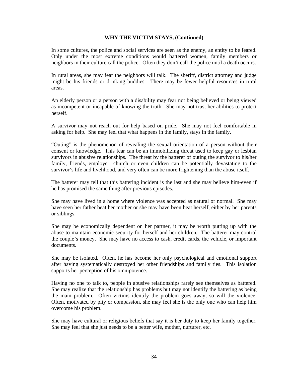#### **WHY THE VICTIM STAYS, (Continued)**

In some cultures, the police and social services are seen as the enemy, an entity to be feared. Only under the most extreme conditions would battered women, family members or neighbors in their culture call the police. Often they don't call the police until a death occurs.

In rural areas, she may fear the neighbors will talk. The sheriff, district attorney and judge might be his friends or drinking buddies. There may be fewer helpful resources in rural areas.

An elderly person or a person with a disability may fear not being believed or being viewed as incompetent or incapable of knowing the truth. She may not trust her abilities to protect herself.

A survivor may not reach out for help based on pride. She may not feel comfortable in asking for help. She may feel that what happens in the family, stays in the family.

"Outing" is the phenomenon of revealing the sexual orientation of a person without their consent or knowledge. This fear can be an immobilizing threat used to keep gay or lesbian survivors in abusive relationships. The threat by the batterer of outing the survivor to his/her family, friends, employer, church or even children can be potentially devastating to the survivor's life and livelihood, and very often can be more frightening than the abuse itself.

The batterer may tell that this battering incident is the last and she may believe him-even if he has promised the same thing after previous episodes.

She may have lived in a home where violence was accepted as natural or normal. She may have seen her father beat her mother or she may have been beat herself, either by her parents or siblings.

She may be economically dependent on her partner, it may be worth putting up with the abuse to maintain economic security for herself and her children. The batterer may control the couple's money. She may have no access to cash, credit cards, the vehicle, or important documents.

She may be isolated. Often, he has become her only psychological and emotional support after having systematically destroyed her other friendships and family ties. This isolation supports her perception of his omnipotence.

Having no one to talk to, people in abusive relationships rarely see themselves as battered. She may realize that the relationship has problems but may not identify the battering as being the main problem. Often victims identify the problem goes away, so will the violence. Often, motivated by pity or compassion, she may feel she is the only one who can help him overcome his problem.

She may have cultural or religious beliefs that say it is her duty to keep her family together. She may feel that she just needs to be a better wife, mother, nurturer, etc.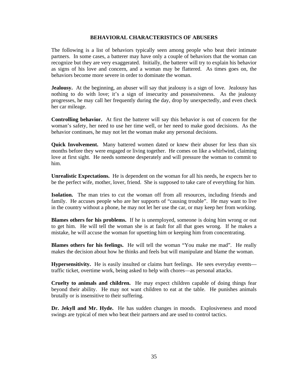#### **BEHAVIORAL CHARACTERISTICS OF ABUSERS**

The following is a list of behaviors typically seen among people who beat their intimate partners. In some cases, a batterer may have only a couple of behaviors that the woman can recognize but they are very exaggerated. Initially, the batterer will try to explain his behavior as signs of his love and concern, and a woman may be flattered. As times goes on, the behaviors become more severe in order to dominate the woman.

Jealousy. At the beginning, an abuser will say that jealousy is a sign of love. Jealousy has nothing to do with love; it's a sign of insecurity and possessiveness. As the jealousy progresses, he may call her frequently during the day, drop by unexpectedly, and even check her car mileage.

**Controlling behavior.** At first the batterer will say this behavior is out of concern for the woman's safety, her need to use her time well, or her need to make good decisions. As the behavior continues, he may not let the woman make any personal decisions.

**Quick Involvement.** Many battered women dated or knew their abuser for less than six months before they were engaged or living together. He comes on like a whirlwind, claiming love at first sight. He needs someone desperately and will pressure the woman to commit to him.

**Unrealistic Expectations.** He is dependent on the woman for all his needs, he expects her to be the perfect wife, mother, lover, friend. She is supposed to take care of everything for him.

**Isolation.** The man tries to cut the woman off from all resources, including friends and family. He accuses people who are her supports of "causing trouble". He may want to live in the country without a phone, he may not let her use the car, or may keep her from working.

**Blames others for his problems.** If he is unemployed, someone is doing him wrong or out to get him. He will tell the woman she is at fault for all that goes wrong. If he makes a mistake, he will accuse the woman for upsetting him or keeping him from concentrating.

**Blames others for his feelings.** He will tell the woman "You make me mad". He really makes the decision about how he thinks and feels but will manipulate and blame the woman.

**Hypersensitivity.** He is easily insulted or claims hurt feelings. He sees everyday events traffic ticket, overtime work, being asked to help with chores—as personal attacks.

**Cruelty to animals and children.** He may expect children capable of doing things fear beyond their ability. He may not want children to eat at the table. He punishes animals brutally or is insensitive to their suffering.

**Dr. Jekyll and Mr. Hyde.** He has sudden changes in moods. Explosiveness and mood swings are typical of men who beat their partners and are used to control tactics.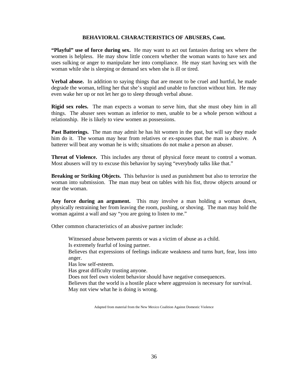#### **BEHAVIORAL CHARACTERISTICS OF ABUSERS, Cont.**

**"Playful" use of force during sex.** He may want to act out fantasies during sex where the women is helpless. He may show little concern whether the woman wants to have sex and uses sulking or anger to manipulate her into compliance. He may start having sex with the woman while she is sleeping or demand sex when she is ill or tired.

**Verbal abuse.** In addition to saying things that are meant to be cruel and hurtful, he made degrade the woman, telling her that she's stupid and unable to function without him. He may even wake her up or not let her go to sleep through verbal abuse.

**Rigid sex roles.** The man expects a woman to serve him, that she must obey him in all things. The abuser sees woman as inferior to men, unable to be a whole person without a relationship. He is likely to view women as possessions.

**Past Batterings.** The man may admit he has hit women in the past, but will say they made him do it. The woman may hear from relatives or ex-spouses that the man is abusive. A batterer will beat any woman he is with; situations do not make a person an abuser.

**Threat of Violence.** This includes any threat of physical force meant to control a woman. Most abusers will try to excuse this behavior by saying "everybody talks like that."

**Breaking or Striking Objects.** This behavior is used as punishment but also to terrorize the woman into submission. The man may beat on tables with his fist, throw objects around or near the woman.

**Any force during an argument.** This may involve a man holding a woman down, physically restraining her from leaving the room, pushing, or shoving. The man may hold the woman against a wall and say "you are going to listen to me."

Other common characteristics of an abusive partner include:

Witnessed abuse between parents or was a victim of abuse as a child. Is extremely fearful of losing partner. Believes that expressions of feelings indicate weakness and turns hurt, fear, loss into anger. Has low self-esteem. Has great difficulty trusting anyone. Does not feel own violent behavior should have negative consequences. Believes that the world is a hostile place where aggression is necessary for survival. May not view what he is doing is wrong.

Adapted from material from the New Mexico Coalition Against Domestic Violence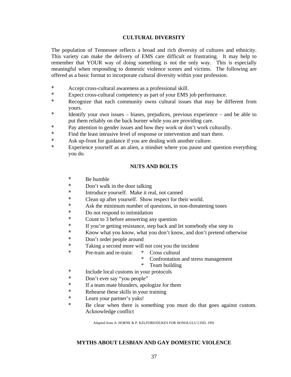#### **CULTURAL DIVERSITY**

The population of Tennessee reflects a broad and rich diversity of cultures and ethnicity. This variety can make the delivery of EMS care difficult or frustrating. It may help to remember that YOUR way of doing something is not the only way. This is especially meaningful when responding to domestic violence scenes and victims. The following are offered as a basic format to incorporate cultural diversity within your profession.

- \* Accept cross-cultural awareness as a professional skill.
- \* Expect cross-cultural competency as part of your EMS job performance.
- \* Recognize that each community owns cultural issues that may be different from yours.
- \* Identify your own issues biases, prejudices, previous experience and be able to put them reliably on the back burner while you are providing care.
- \* Pay attention to gender issues and how they work or don't work culturally.
- \* Find the least intrusive level of response or intervention and start there.
- \* Ask up-front for guidance if you are dealing with another culture.
- \* Experience yourself as an alien, a mindset where you pause and question everything you do.

#### **NUTS AND BOLTS**

- \* Be humble
- \* Don't walk in the door talking
- \* Introduce yourself. Make it real, not canned
- \* Clean up after yourself. Show respect for their world.
- \* Ask the minimum number of questions, in non-threatening tones
- \* Do not respond to intimidation
- \* Count to 3 before answering any question
- \* If you're getting resistance, step back and let somebody else step in
- \* Know what you know, what you don't know, and don't pretend otherwise
- Don't order people around
- \* Taking a second more will not cost you the incident
- \* Pre-train and re-train: \* Cross cultural
	- \* Confrontation and stress management
	- \* Team building
- \* Include local customs in your protocols
- \* Don't ever say "you people"
- \* If a team mate blunders, apologize for them
- \* Rehearse these skills in your training
- \* Learn your partner's yuks!
- Be clear when there is something you must do that goes against custom. Acknowledge conflict

Adapted from A. HORNE & P. KELFORD/DUKES FOR HONOLULU CISD, 1991

#### **MYTHS ABOUT LESBIAN AND GAY DOMESTIC VIOLENCE**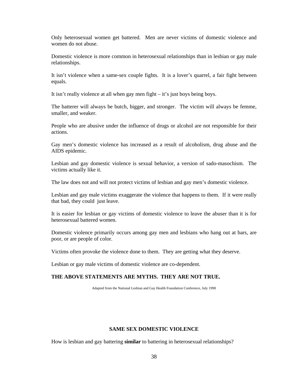Only heterosexual women get battered. Men are never victims of domestic violence and women do not abuse.

Domestic violence is more common in heterosexual relationships than in lesbian or gay male relationships.

It isn't violence when a same-sex couple fights. It is a lover's quarrel, a fair fight between equals.

It isn't really violence at all when gay men fight – it's just boys being boys.

The batterer will always be butch, bigger, and stronger. The victim will always be femme, smaller, and weaker.

People who are abusive under the influence of drugs or alcohol are not responsible for their actions.

Gay men's domestic violence has increased as a result of alcoholism, drug abuse and the AIDS epidemic.

Lesbian and gay domestic violence is sexual behavior, a version of sado-masochism. The victims actually like it.

The law does not and will not protect victims of lesbian and gay men's domestic violence.

Lesbian and gay male victims exaggerate the violence that happens to them. If it were really that bad, they could just leave.

It is easier for lesbian or gay victims of domestic violence to leave the abuser than it is for heterosexual battered women.

Domestic violence primarily occurs among gay men and lesbians who hang out at bars, are poor, or are people of color.

Victims often provoke the violence done to them. They are getting what they deserve.

Lesbian or gay male victims of domestic violence are co-dependent.

#### **THE ABOVE STATEMENTS ARE MYTHS. THEY ARE NOT TRUE.**

Adapted from the National Lesbian and Gay Health Foundation Conference, July 1990

#### **SAME SEX DOMESTIC VIOLENCE**

How is lesbian and gay battering **similar** to battering in heterosexual relationships?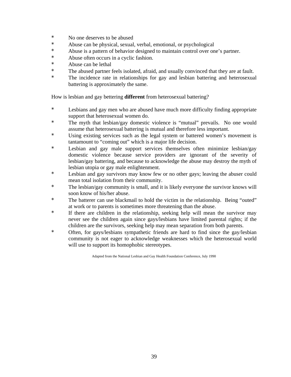- $*$  No one deserves to be abused
- \* Abuse can be physical, sexual, verbal, emotional, or psychological<br>Abuse is a pattern of behavior designed to maintain sontrol over on
- Abuse is a pattern of behavior designed to maintain control over one's partner.
- \* Abuse often occurs in a cyclic fashion.
- \* Abuse can be lethal
- \* The abused partner feels isolated, afraid, and usually convinced that they are at fault.
- \* The incidence rate in relationships for gay and lesbian battering and heterosexual battering is approximately the same.

How is lesbian and gay bettering **different** from heterosexual battering?

- \* Lesbians and gay men who are abused have much more difficulty finding appropriate support that heterosexual women do.
- \* The myth that lesbian/gay domestic violence is "mutual" prevails. No one would assume that heterosexual battering is mutual and therefore less important.
- \* Using existing services such as the legal system or battered women's movement is tantamount to "coming out" which is a major life decision.
- \* Lesbian and gay male support services themselves often minimize lesbian/gay domestic violence because service providers are ignorant of the severity of lesbian/gay battering, and because to acknowledge the abuse may destroy the myth of lesbian utopia or gay male enlightenment.
- \* Lesbian and gay survivors may know few or no other gays; leaving the abuser could mean total isolation from their community.
- \* The lesbian/gay community is small, and it is likely everyone the survivor knows will soon know of his/her abuse.
- \* The batterer can use blackmail to hold the victim in the relationship. Being "outed" at work or to parents is sometimes more threatening than the abuse.
- \* If there are children in the relationship, seeking help will mean the survivor may never see the children again since gays/lesbians have limited parental rights; if the children are the survivors, seeking help may mean separation from both parents.
- \* Often, for gays/lesbians sympathetic friends are hard to find since the gay/lesbian community is not eager to acknowledge weaknesses which the heterosexual world will use to support its homophobic stereotypes.

Adapted from the National Lesbian and Gay Health Foundation Conference, July 1990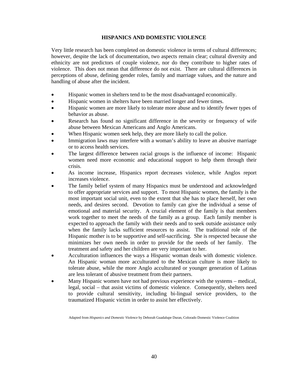#### **HISPANICS AND DOMESTIC VIOLENCE**

Very little research has been completed on domestic violence in terms of cultural differences; however, despite the lack of documentation, two aspects remain clear; cultural diversity and ethnicity are not predictors of couple violence, nor do they contribute to higher rates of violence. This does not mean that difference do not exist. There are cultural differences in perceptions of abuse, defining gender roles, family and marriage values, and the nature and handling of abuse after the incident.

- Hispanic women in shelters tend to be the most disadvantaged economically.
- Hispanic women in shelters have been married longer and fewer times.
- Hispanic women are more likely to tolerate more abuse and to identify fewer types of behavior as abuse.
- Research has found no significant difference in the severity or frequency of wife abuse between Mexican Americans and Anglo Americans.
- When Hispanic women seek help, they are more likely to call the police.
- Immigration laws may interfere with a woman's ability to leave an abusive marriage or to access health services.
- The largest difference between racial groups is the influence of income: Hispanic women need more economic and educational support to help them through their crisis.
- As income increase, Hispanics report decreases violence, while Anglos report increases violence.
- The family belief system of many Hispanics must be understood and acknowledged to offer appropriate services and support. To most Hispanic women, the family is the most important social unit, even to the extent that she has to place herself, her own needs, and desires second. Devotion to family can give the individual a sense of emotional and material security. A crucial element of the family is that members work together to meet the needs of the family as a group. Each family member is expected to approach the family with their needs and to seek outside assistance only when the family lacks sufficient resources to assist. The traditional role of the Hispanic mother is to be supportive and self-sacrificing. She is respected because she minimizes her own needs in order to provide for the needs of her family. The treatment and safety and her children are very important to her.
- Acculturation influences the ways a Hispanic woman deals with domestic violence. An Hispanic woman more acculturated to the Mexican culture is more likely to tolerate abuse, while the more Anglo acculturated or younger generation of Latinas are less tolerant of abusive treatment from their partners.
- Many Hispanic women have not had previous experience with the systems medical, legal, social – that assist victims of domestic violence. Consequently, shelters need to provide cultural sensitivity, including bi-lingual service providers, to the traumatized Hispanic victim in order to assist her effectively.

Adapted from *Hispanics and Domestic Violence* by Deborah Guadalupe Duran, Colorado Domestic Violence Coalition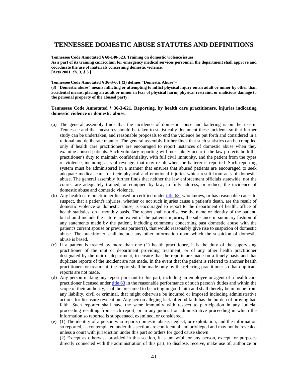#### **TENNESSEE DOMESTIC ABUSE STATUTES AND DEFINITIONS**

**Tennessee Code Annotated § 68-140-523. Training on domestic violence issues. As a part of its training curriculum for emergency medical services personnel, the department shall approve and coordinate the use of materials concerning domestic violence. [Acts 2001, ch. 3, § 3.]** 

#### **Tennessee Code Annotated § 36-3-601 (3) defines "Domestic Abuse"-**

**(3) "Domestic abuse" means inflicting or attempting to inflict physical injury on an adult or minor by other than accidental means, placing an adult or minor in fear of physical harm, physical restraint, or malicious damage to the personal property of the abused party;** 

#### **Tennessee Code Annotated § 36-3-621. Reporting, by health care practitioners, injuries indicating domestic violence or domestic abuse.**

- (a) The general assembly finds that the incidence of domestic abuse and battering is on the rise in Tennessee and that measures should be taken to statistically document these incidents so that further study can be undertaken, and reasonable proposals to end the violence be put forth and considered in a rational and deliberate manner. The general assembly further finds that such statistics can be compiled only if health care practitioners are encouraged to report instances of domestic abuse when they examine abused patients. Such voluntary reporting will most likely occur if the law protects both the practitioner's duty to maintain confidentiality, with full civil immunity, and the patient from the types of violence, including acts of revenge, that may result when the batterer is reported. Such reporting system must be administered in a manner that ensures that abused patients are encouraged to seek adequate medical care for their physical and emotional injuries which result from acts of domestic abuse. The general assembly further finds that neither the law enforcement officials statewide, nor the courts, are adequately trained, or equipped by law, to fully address, or reduce, the incidence of domestic abuse and domestic violence.
- (b) Any health care practitioner licensed or certified under title 63, who knows, or has reasonable cause to suspect, that a patient's injuries, whether or not such injuries cause a patient's death, are the result of domestic violence or domestic abuse, is encouraged to report to the department of health, office of health statistics, on a monthly basis. The report shall not disclose the name or identity of the patient, but should include the nature and extent of the patient's injuries, the substance in summary fashion of any statements made by the patient, including comments concerning past domestic abuse with the patient's current spouse or previous partner(s), that would reasonably give rise to suspicion of domestic abuse. The practitioner shall include any other information upon which the suspicion of domestic abuse is based.
- (c) If a patient is treated by more than one (1) health practitioner, it is the duty of the supervising practitioner of the unit or department providing treatment, or of any other health practitioner designated by the unit or department, to ensure that the reports are made on a timely basis and that duplicate reports of the incident are not made. In the event that the patient is referred to another health practitioner for treatment, the report shall be made only by the referring practitioner so that duplicate reports are not made.
- (d) Any person making any report pursuant to this part, including an employee or agent of a health care practitioner licensed under title  $63$  in the reasonable performance of such person's duties and within the scope of their authority, shall be presumed to be acting in good faith and shall thereby be immune from any liability, civil or criminal, that might otherwise be incurred or imposed including administrative actions for licensure revocation. Any person alleging lack of good faith has the burden of proving bad faith. Such reporter shall have the same immunity with respect to participation in any judicial proceeding resulting from such report, or in any judicial or administrative proceeding in which the information so reported is subpoenaed, examined, or considered.
- (e) (1) The identity of a person who reports domestic abuse, neglect, or exploitation, and the information so reported, as contemplated under this section are confidential and privileged and may not be revealed unless a court with jurisdiction under this part so orders for good cause shown.

(2) Except as otherwise provided in this section, it is unlawful for any person, except for purposes directly connected with the administration of this part, to disclose, receive, make use of, authorize or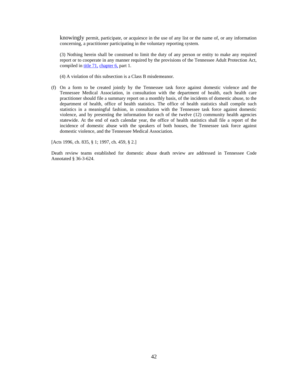knowingly permit, participate, or acquiesce in the use of any list or the name of, or any information concerning, a practitioner participating in the voluntary reporting system.

(3) Nothing herein shall be construed to limit the duty of any person or entity to make any required report or to cooperate in any manner required by the provisions of the Tennessee Adult Protection Act, compiled in title 71, chapter 6, part 1.

- (4) A violation of this subsection is a Class B misdemeanor.
- (f) On a form to be created jointly by the Tennessee task force against domestic violence and the Tennessee Medical Association, in consultation with the department of health, each health care practitioner should file a summary report on a monthly basis, of the incidents of domestic abuse, to the department of health, office of health statistics. The office of health statistics shall compile such statistics in a meaningful fashion, in consultation with the Tennessee task force against domestic violence, and by presenting the information for each of the twelve (12) community health agencies statewide. At the end of each calendar year, the office of health statistics shall file a report of the incidence of domestic abuse with the speakers of both houses, the Tennessee task force against domestic violence, and the Tennessee Medical Association.

[Acts 1996, ch. 835, § 1; 1997, ch. 459, § 2.]

Death review teams established for domestic abuse death review are addressed in Tennessee Code Annotated § 36-3-624.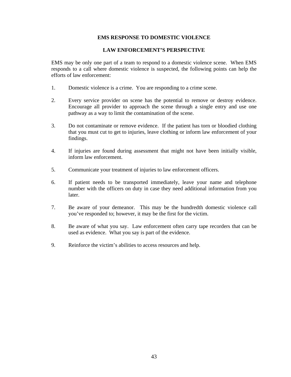#### **EMS RESPONSE TO DOMESTIC VIOLENCE**

#### **LAW ENFORCEMENT'S PERSPECTIVE**

EMS may be only one part of a team to respond to a domestic violence scene. When EMS responds to a call where domestic violence is suspected, the following points can help the efforts of law enforcement:

- 1. Domestic violence is a crime. You are responding to a crime scene.
- 2. Every service provider on scene has the potential to remove or destroy evidence. Encourage all provider to approach the scene through a single entry and use one pathway as a way to limit the contamination of the scene.
- 3. Do not contaminate or remove evidence. If the patient has torn or bloodied clothing that you must cut to get to injuries, leave clothing or inform law enforcement of your findings.
- 4. If injuries are found during assessment that might not have been initially visible, inform law enforcement.
- 5. Communicate your treatment of injuries to law enforcement officers.
- 6. If patient needs to be transported immediately, leave your name and telephone number with the officers on duty in case they need additional information from you later.
- 7. Be aware of your demeanor. This may be the hundredth domestic violence call you've responded to; however, it may be the first for the victim.
- 8. Be aware of what you say. Law enforcement often carry tape recorders that can be used as evidence. What you say is part of the evidence.
- 9. Reinforce the victim's abilities to access resources and help.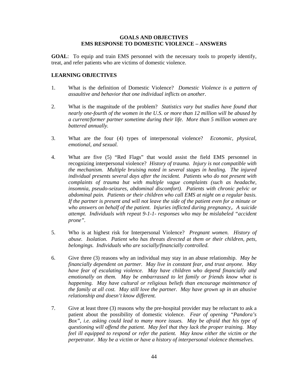#### **GOALS AND OBJECTIVES EMS RESPONSE TO DOMESTIC VIOLENCE – ANSWERS**

**GOAL**: To equip and train EMS personnel with the necessary tools to properly identify, treat, and refer patients who are victims of domestic violence.

#### **LEARNING OBJECTIVES**

- 1. What is the definition of Domestic Violence? *Domestic Violence is a pattern of assaultive and behavior that one individual inflicts on another*.
- 2. What is the magnitude of the problem? *Statistics vary but studies have found that nearly one-fourth of the women in the U.S. or more than 12 million will be abused by a current/former partner sometime during their life. More than 5 million women are battered annually.*
- 3. What are the four (4) types of interpersonal violence? *Economic, physical, emotional, and sexual.*
- 4. What are five (5) "Red Flags" that would assist the field EMS personnel in recognizing interpersonal violence? *History of trauma. Injury is not compatible with the mechanism. Multiple bruising noted in several stages in healing. The injured individual presents several days after the incident. Patients who do not present with complaints of trauma but with multiple vague complaints (such as headache, insomnia, pseudo-seizures, abdominal discomfort). Patients with chronic pelvic or abdominal pain. Patients or their children who call EMS at night on a regular basis. If the partner is present and will not leave the side of the patient even for a minute or who answers on behalf of the patient. Injuries inflicted during pregnancy,. A suicide attempt. Individuals with repeat 9-1-1- responses who may be mislabeled "accident prone".*
- 5. Who is at highest risk for Interpersonal Violence? *Pregnant women. History of abuse. Isolation. Patient who has threats directed at them or their children, pets, belongings. Individuals who are socially/financially controlled.*
- 6. Give three (3) reasons why an individual may stay in an abuse relationship. *May be financially dependent on partner. May live in constant fear, and trust anyone. May have fear of escalating violence. May have children who depend financially and emotionally on them. May be embarrassed to let family or friends know what is happening. May have cultural or religious beliefs than encourage maintenance of the family at all cost. May still love the partner. May have grown up in an abusive relationship and doesn't know different.*
- 7. Give at least three (3) reasons why the pre-hospital provider may be reluctant to ask a patient about the possibility of domestic violence. *Fear of opening "Pandora's Box", i.e. asking could lead to many more issues. May be afraid that his type of questioning will offend the patient. May feel that they lack the proper training. May feel ill equipped to respond or refer the patient. May know either the victim or the perpetrator. May be a victim or have a history of interpersonal violence themselves.*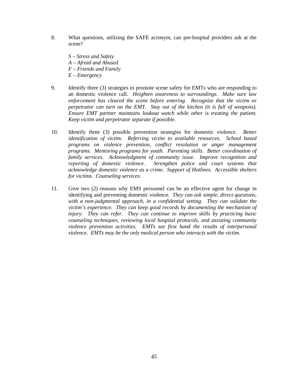- 8. What questions, utilizing the SAFE acronym, can pre-hospital providers ask at the scene?
	- *S Stress and Safety A – Afraid and Abused F – Friends and Family E – Emergency*
- 9. Identify three (3) strategies to promote scene safety for EMTs who are responding to an domestic violence call. *Heighten awareness to surroundings. Make sure law enforcement has cleared the scene before entering. Recognize that the victim or perpetrator can turn on the EMT. Stay out of the kitchen (it is full of weapons). Ensure EMT partner maintains lookout watch while other is treating the patient. Keep victim and perpetrator separate if possible.*
- 10. Identify three (3) possible prevention strategies for domestic violence. *Better identification of victim. Referring victim to available resources. School based programs on violence prevention, conflict resolution or anger management programs. Mentoring programs for youth. Parenting skills. Better coordination of family services. Acknowledgment of community issue. Improve recognition and reporting of domestic violence. Strengthen police and court systems that acknowledge domestic violence as a crime. Support of Hotlines. Accessible shelters for victims. Counseling services.*
- 11. Give two (2) reasons why EMS personnel can be an effective agent for change in identifying and preventing domestic violence. *They can ask simple, direct questions, with a non-judgmental approach, in a confidential setting. They can validate the victim's experience. They can keep good records by documenting the mechanism of injury. They can refer. They can continue to improve skills by practicing basic counseling techniques, reviewing local hospital protocols, and assisting community violence prevention activities. EMTs see first hand the results of interpersonal violence. EMTs may be the only medical person who interacts with the victim.*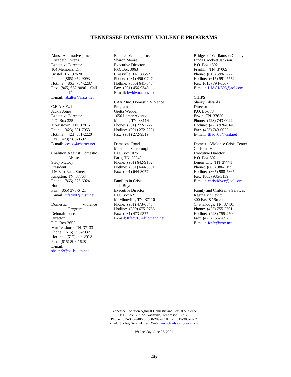Abuse Alternatives, Inc. Elizabeth Owens Executive Director 104 Memorial Dr. Bristol, TN 37620 Phone: (865) 652-9093 Hotline: (865) 764-2287 Fax: (865) 652-9096 – Call 1st

E-mail: abalter@naxs.net

C.E.A.S.E., Inc. Jackie Jones Executive Director P.O. Box 3359 Morristown, TN 37815 Phone: (423) 581-7953 Hotline: (423) 581-2220 Fax: (423) 586-0692 E-mail: cease@charter.net

Coalition Against Domestic Abuse Stacy McCoy President 146 East Race Street Kingston, TN 37763 Phone: (865) 376-6024 Hotline: Fax: (865) 376-6421 E-mail: ttfadv07@usit.net

#### Domestic Violence Program Deborah Johnson Director P.O. Box 2652 Murfreesboro, TN 37133 Phone: (615) 896-2032

Hotline: (615) 896-2012 Fax: (615) 896-1628 E-mail: shelter2@bellsouth.net

Battered Women, Inc. Sharon Moore Executive Director P.O. Box 3063 Crossville, TN 38557 Phone: (931) 456-0747 Hotline: (800) 641-3434 Fax: (931) 456-9345 E-mail: bwi@tnaccess.com

CAAP Inc. Domestic Violence Program Gretta Webber 1656 Lamar Avenue Memphis, TN 38114 Phone: (901) 272-2227 Hotline: (901) 272-2221 Fax: (901) 272-9519

Damascas Road Marianne Scarbrough P.O. Box 1075 Paris, TN 38242 Phone: (901) 642-9102 Hotline: (901) 644-3301 Fax: (901) 644-3077

Families in Crisis Julia Boyd Executive Director P.O. Box 621 McMinnville, TN 37110 Phone: (931) 473-6543 Hotline: (800) 675-0766 Fax: (931) 473-9375 E-mail: ttfadv10@blomand.net

Bridges of Williamson County Linda Crockett Jackson P.O. Box 1592 Franklin, TN 37065 Phone: (615) 599-5777 Hotline: (615) 591-7752 Fax: (615) 794-6567 E-mail: LJACK805@aol.com

#### **CHIPS**

Sherry Edwards Director P.O. Box 78 Erwin, TN 37650 Phone: (423) 743-0022 Hotline: (423) 926-0140 Fax: (423) 743-0022 E-mail: ttfadv06@usit.net

Domestic Violence Crisis Center Christina Hope Executive Director P.O. Box 802 Lenoir City, TN 37771 Phone: (865) 986-3199 Hotline: (865) 988-7867 Fax: (865) 986-3139 E-mail: christidvcc@aol.com

Family and Children's Services Regina McDevitt 300 East 8<sup>th</sup> Street Chattanooga, TN 37401 Phone: (423) 755-2701 Hotline: (423) 755-2700 Fax: (423) 755-2897 E-mail: fcsfv@voy.net

Tennessee Coalition Against Domestic and Sexual Violence P.O. Box 120972, Nashville, Tennessee 37212 Phone: 615-386-9406 or 800-289-9018 Fax: 615-383-2967 E-mail: tcadsv@tclalink.net Web: www.tcadsv.citysearch.com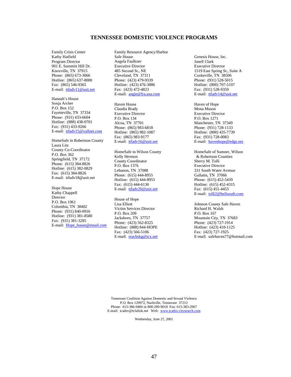Family Crisis Center Kathy Hatfield Program Director 901 E. Summitt Hill Dr. Knoxville, TN 37915 Phone: (865) 673-3066 Hotline: (865) 637-8000 Fax: (865) 546-9365 E-mail: ttfadv11@usit.net

Hannah's House Sonja Archer P.O. Box 152 Fayetteville, TN 37334 Phone: (931) 433-6604 Hotline: (888) 438-0701 Fax: (931) 433-9266 E-mail: ttfadv15@vallnet.com

HomeSafe in Robertson County Laura Litz County Co-Coordinator P.O. Box 362 Springfield, TN 37172 Phone: (615) 384-8826 Hotline: (615) 382-0829 Fax: (615) 384-8826 E-mail: ttfadv18@usit.net

Hope House Kathy Chappell Director P.O. Box 1961 Columbia, TN 38402 Phone: (931) 840-0916 Hotline: (931) 381-8580 Fax: (931) 381-3285 E-mail: Hope\_house@email.com Family Resource Agency/Harbor Safe House Angela Faulkner Executive Director 485 Second St., NE Cleveland, TN 37311 Phone: (423) 479-9339 Hotline: (423) 476-3886 Fax: (423) 472-4823 E-mail: angie@fra.usa.com

Haven House Claudia Brady Executive Director P.O. Box 134 Alcoa, TN 37701 Phone: (865) 983-6818 Hotline: (865) 982-1087 Fax: (865) 983-9177 E-mail: ttfadv16@usit.net

HomeSafe in Wilson County Kelly Hermon County Coordinator P.O. Box 1376 Lebanon, TN 37088 Phone: (615) 444-8955 Hotline: (615) 444-8955 Fax: (615) 444-6130 E-mail: ttfadv20@usit.net

House of Hope Lisa Elliott Victim Services Director P.O. Box 209 Jacksboro, TN 37757 Phone: (423) 562-8325 Hotline: (888) 844-HOPE Fax: (423) 566-5106 E-mail: reachskg@icx.net Genesis House, Inc. Janell Clark Executive Director 1519 East Spring St., Suite A Cookeville, TN 38506 Phone: (931) 528-5015 Hotline: (800) 707-5197 Fax: (931) 528-9359 E-mail: ttfadv14@usit.net

Haven of Hope Mona Mason Executive Director P.O. Box 1271 Manchester, TN 37349 Phone: (931) 728-1133 Hotline: (800) 435-7739 Fax: (931) 728-0083 E-mail: havenhope@edge.net

HomeSafe of Sumner, Wilson & Robertson Counties Sherry M. Tolli Executive Director 331 South Water Avenue Gallatin, TN 37066 Phone: (615) 452-5439 Hotline: (615) 452-4315 Fax: (615) 451-4453 E-mail: tolli2@bellsouth.com

Johnson County Safe Haven Richard H. Walsh P.O. Box 167 Mountain City, TN 37683 Phone: (423) 727-1914 Hotline: (423) 410-1125 Fax: (423) 727-1925 E-mail: safehaven77@hotmail.com

Tennessee Coalition Against Domestic and Sexual Violence P.O. Box 120972, Nashville, Tennessee 37212 Phone: 615-386-9406 or 800-289-9018 Fax: 615-383-2967 E-mail: tcadsv@tclalink.net Web: www.tcadsv.citysearch.com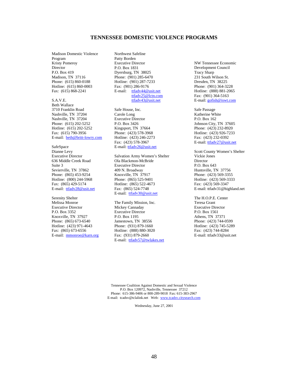Madison Domestic Violence Program Kristy Pomeroy Director P.O. Box 419 Madison, TN 37116 Phone: (615) 860-0188 Hotline: (615) 860-0003 Fax: (615) 868-2241

S.A.V.E. Beth Wallace 3710 Franklin Road Nashville, TN 37204 Nashville, TN 37204 Phone: (615) 202-5252 Hotline: (615) 202-5252 Fax: (615) 790-3956 E-mail: beth@britt-lowry.com

SafeSpace Dianne Levy Executive Director 636 Middle Creek Road Suite 3 Sevierville, TN 37862 Phone: (865) 453-9254 Hotline: (800) 244-5968 Fax: (865) 429-5174 E-mail: ttfadv28@usit.net

Serenity Shelter Melissa Monroe Executive Director P.O. Box 3352 Knoxville, TN 37927 Phone: (865) 673-6540 Hotline: (423) 971-4643 Fax: (865) 673-6556 E-mail: mmonroe@karn.org Northwest Safeline Patty Borden Executive Director P.O. Box 1831 Dyersburg, TN 38025 Phone: (901) 285-6470 Hotline: (901) 287-7233 Fax: (901) 286-9176 E-mail: ttfadv44@usit.net ttfadv25@lctn.com ttfadv43@usit.net

Safe House, Inc. Carole Long Executive Director P.O. Box 3426 Kingsport, TN 37664 Phone: (423) 578-3968 Hotline: (423) 246-2273 Fax: (423) 578-3967 E-mail: ttfadv26@usit.net

Salvation Army Women's Shelter Ola Blackmon-McBride Executive Director 409 N. Broadway Knoxville, TN 37917 Phone: (865) 525-9401 Hotline: (865) 522-4673 Fax: (865) 524-7748 E-mail: ttfadv30@usit.net

The Family Mission, Inc. Mickey Cannaday Executive Director P.O. Box 1195 Jamestown, TN 38556 Phone: (931) 879-1660 Hotline: (888) 880-3020 Fax: (931) 879-2660 E-mail: ttfadv57@twlakes.net NW Tennessee Economic Development Council Tracy Sharp 231 South Wilson St. Dresden, TN 38225 Phone: (901) 364-3228 Hotline: (888) 881-2065 Fax: (901) 364-5163 E-mail: gofish@iswt.com

Safe Passage Katherine White P.O. Box 162 Johnson City, TN 37605 Phone: (423) 232-8920 Hotline: (423) 926-7233 Fax: (423) 232-0392 E-mail: ttfadv27@usit.net

Scott County Women's Shelter Vickie Jones Director P.O. Box 643 Huntsville, TN 37756 Phone: (423) 569-3355 Hotline: (423) 569-3333 Fax: (423) 569-3347 E-mail: ttfadv31@highland.net

The H.O.P.E. Center Teresa Grant Executive Director P.O. Box 1561 Athens, TN 37371 Phone: (423) 744-0599 Hotline: (423) 745-5289 Fax: (423) 744-8284 E-mail: ttfadv33@usit.net

Tennessee Coalition Against Domestic and Sexual Violence P.O. Box 120972, Nashville, Tennessee 37212 Phone: 615-386-9406 or 800-289-9018 Fax: 615-383-2967 E-mail: tcadsv@tclalink.net Web: www.tcadsv.citysearch.com